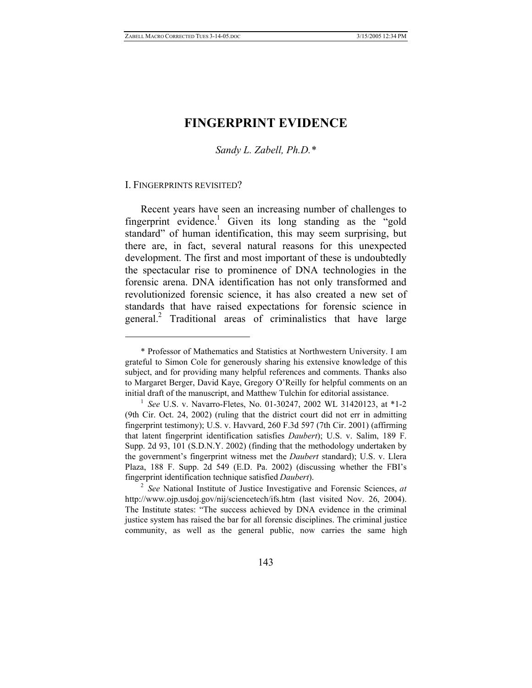# **FINGERPRINT EVIDENCE**

*Sandy L. Zabell, Ph.D.\** 

#### I. FINGERPRINTS REVISITED?

 $\overline{a}$ 

Recent years have seen an increasing number of challenges to fingerprint evidence.<sup>1</sup> Given its long standing as the "gold standard" of human identification, this may seem surprising, but there are, in fact, several natural reasons for this unexpected development. The first and most important of these is undoubtedly the spectacular rise to prominence of DNA technologies in the forensic arena. DNA identification has not only transformed and revolutionized forensic science, it has also created a new set of standards that have raised expectations for forensic science in general.<sup>2</sup> Traditional areas of criminalistics that have large

 <sup>\*</sup> Professor of Mathematics and Statistics at Northwestern University. I am grateful to Simon Cole for generously sharing his extensive knowledge of this subject, and for providing many helpful references and comments. Thanks also to Margaret Berger, David Kaye, Gregory O'Reilly for helpful comments on an initial draft of the manuscript, and Matthew Tulchin for editorial assistance. 1 *See* U.S. v. Navarro-Fletes, No. 01-30247, 2002 WL 31420123, at \*1-2

<sup>(9</sup>th Cir. Oct. 24, 2002) (ruling that the district court did not err in admitting fingerprint testimony); U.S. v. Havvard, 260 F.3d 597 (7th Cir. 2001) (affirming that latent fingerprint identification satisfies *Daubert*); U.S. v. Salim, 189 F. Supp. 2d 93, 101 (S.D.N.Y. 2002) (finding that the methodology undertaken by the government's fingerprint witness met the *Daubert* standard); U.S. v. Llera Plaza, 188 F. Supp. 2d 549 (E.D. Pa. 2002) (discussing whether the FBI's fingerprint identification technique satisfied *Daubert*).

<sup>2</sup> *See* National Institute of Justice Investigative and Forensic Sciences, *at*  http://www.ojp.usdoj.gov/nij/sciencetech/ifs.htm (last visited Nov. 26, 2004). The Institute states: "The success achieved by DNA evidence in the criminal justice system has raised the bar for all forensic disciplines. The criminal justice community, as well as the general public, now carries the same high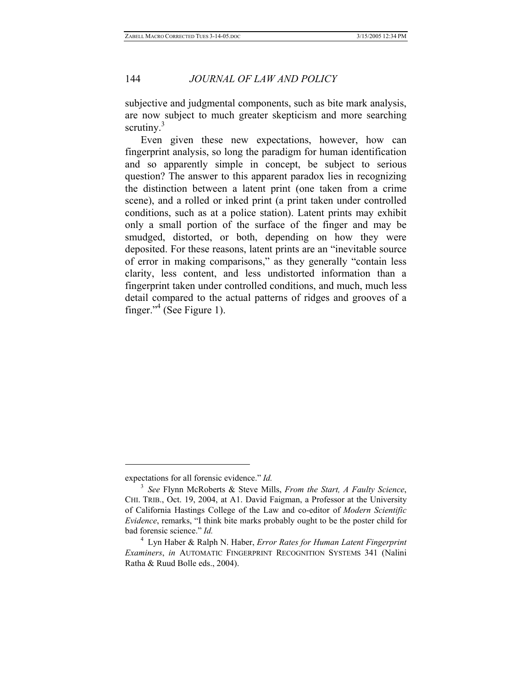subjective and judgmental components, such as bite mark analysis, are now subject to much greater skepticism and more searching scrutiny. $3$ 

Even given these new expectations, however, how can fingerprint analysis, so long the paradigm for human identification and so apparently simple in concept, be subject to serious question? The answer to this apparent paradox lies in recognizing the distinction between a latent print (one taken from a crime scene), and a rolled or inked print (a print taken under controlled conditions, such as at a police station). Latent prints may exhibit only a small portion of the surface of the finger and may be smudged, distorted, or both, depending on how they were deposited. For these reasons, latent prints are an "inevitable source of error in making comparisons," as they generally "contain less clarity, less content, and less undistorted information than a fingerprint taken under controlled conditions, and much, much less detail compared to the actual patterns of ridges and grooves of a finger."<sup>4</sup> (See Figure 1).

expectations for all forensic evidence." *Id.*

<sup>3</sup> *See* Flynn McRoberts & Steve Mills, *From the Start, A Faulty Science*, CHI. TRIB., Oct. 19, 2004, at A1. David Faigman, a Professor at the University of California Hastings College of the Law and co-editor of *Modern Scientific Evidence*, remarks, "I think bite marks probably ought to be the poster child for bad forensic science." *Id.*

<sup>4</sup> Lyn Haber & Ralph N. Haber, *Error Rates for Human Latent Fingerprint Examiners*, *in* AUTOMATIC FINGERPRINT RECOGNITION SYSTEMS 341 (Nalini Ratha & Ruud Bolle eds., 2004).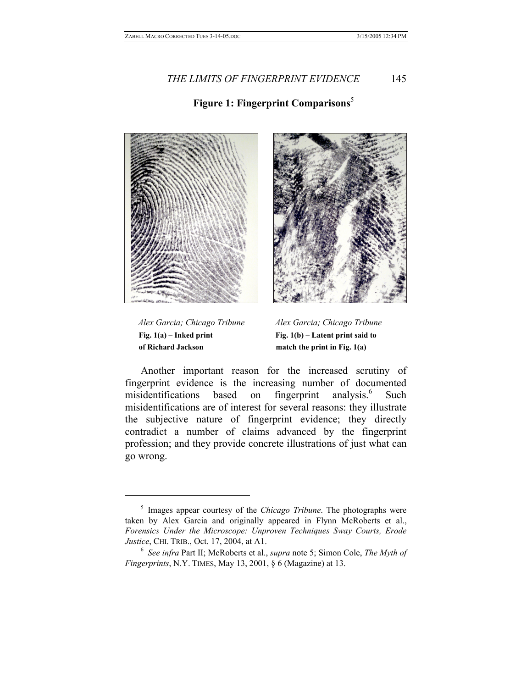# **Figure 1: Fingerprint Comparisons**<sup>5</sup>





Fig. 1(a) – Inked print Fig. 1(b) – Latent print said to  **of Richard Jackson match the print in Fig. 1(a)** 

 $\overline{a}$ 

 *Alex Garcia; Chicago Tribune Alex Garcia; Chicago Tribune*

Another important reason for the increased scrutiny of fingerprint evidence is the increasing number of documented misidentifications based on fingerprint analysis.<sup>6</sup> Such misidentifications are of interest for several reasons: they illustrate the subjective nature of fingerprint evidence; they directly contradict a number of claims advanced by the fingerprint profession; and they provide concrete illustrations of just what can go wrong.

<sup>5</sup> Images appear courtesy of the *Chicago Tribune*. The photographs were taken by Alex Garcia and originally appeared in Flynn McRoberts et al., *Forensics Under the Microscope: Unproven Techniques Sway Courts, Erode Justice*, CHI. TRIB., Oct. 17, 2004, at A1.<br><sup>6</sup> *See infra Part II; McRoberts et al., <i>supra* note 5; Simon Cole, *The Myth of* 

*Fingerprints*, N.Y. TIMES, May 13, 2001, § 6 (Magazine) at 13.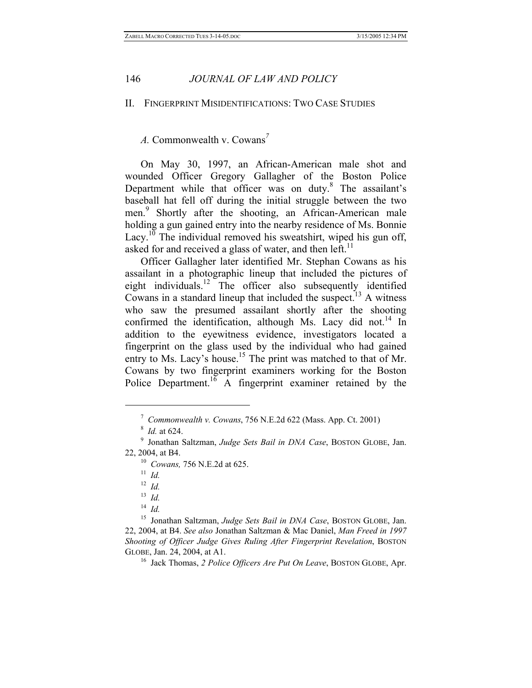### II. FINGERPRINT MISIDENTIFICATIONS: TWO CASE STUDIES

*A.* Commonwealth v. Cowans*<sup>7</sup>*

On May 30, 1997, an African-American male shot and wounded Officer Gregory Gallagher of the Boston Police Department while that officer was on duty.<sup>8</sup> The assailant's baseball hat fell off during the initial struggle between the two men.<sup>9</sup> Shortly after the shooting, an African-American male holding a gun gained entry into the nearby residence of Ms. Bonnie Lacy.<sup>10</sup> The individual removed his sweatshirt, wiped his gun off, asked for and received a glass of water, and then left.<sup>11</sup>

Officer Gallagher later identified Mr. Stephan Cowans as his assailant in a photographic lineup that included the pictures of eight individuals.<sup>12</sup> The officer also subsequently identified Cowans in a standard lineup that included the suspect.13 A witness who saw the presumed assailant shortly after the shooting confirmed the identification, although Ms. Lacy did not.<sup>14</sup> In addition to the eyewitness evidence, investigators located a fingerprint on the glass used by the individual who had gained entry to Ms. Lacy's house.<sup>15</sup> The print was matched to that of Mr. Cowans by two fingerprint examiners working for the Boston Police Department.<sup>16</sup> A fingerprint examiner retained by the

<sup>7</sup> *Commonwealth v. Cowans*, 756 N.E.2d 622 (Mass. App. Ct. 2001) 8 *Id.* at 624. 9 Jonathan Saltzman, *Judge Sets Bail in DNA Case*, BOSTON GLOBE, Jan.

<sup>22, 2004,</sup> at B4. 10 *Cowans,* 756 N.E.2d at 625. 11 *Id.*

<sup>12</sup> *Id.*

<sup>13</sup> *Id.*

<sup>14</sup> *Id.*

<sup>15</sup> Jonathan Saltzman, *Judge Sets Bail in DNA Case*, BOSTON GLOBE, Jan. 22, 2004, at B4. *See also* Jonathan Saltzman & Mac Daniel, *Man Freed in 1997 Shooting of Officer Judge Gives Ruling After Fingerprint Revelation*, BOSTON GLOBE, Jan. 24, 2004, at A1. 16 Jack Thomas, *2 Police Officers Are Put On Leave*, BOSTON GLOBE, Apr.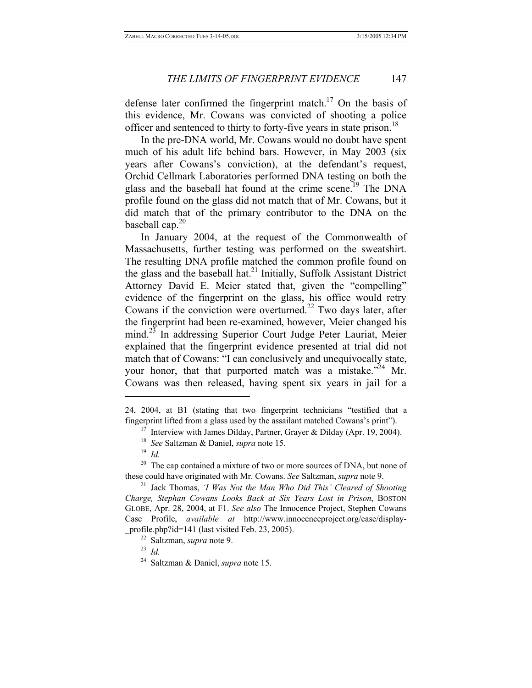defense later confirmed the fingerprint match.<sup>17</sup> On the basis of this evidence, Mr. Cowans was convicted of shooting a police officer and sentenced to thirty to forty-five years in state prison.<sup>18</sup>

In the pre-DNA world, Mr. Cowans would no doubt have spent much of his adult life behind bars. However, in May 2003 (six years after Cowans's conviction), at the defendant's request, Orchid Cellmark Laboratories performed DNA testing on both the glass and the baseball hat found at the crime scene.<sup>19</sup> The DNA profile found on the glass did not match that of Mr. Cowans, but it did match that of the primary contributor to the DNA on the baseball cap. $20$ 

In January 2004, at the request of the Commonwealth of Massachusetts, further testing was performed on the sweatshirt. The resulting DNA profile matched the common profile found on the glass and the baseball hat.<sup>21</sup> Initially, Suffolk Assistant District Attorney David E. Meier stated that, given the "compelling" evidence of the fingerprint on the glass, his office would retry Cowans if the conviction were overturned.<sup>22</sup> Two days later, after the fingerprint had been re-examined, however, Meier changed his mind.<sup>23</sup> In addressing Superior Court Judge Peter Lauriat, Meier explained that the fingerprint evidence presented at trial did not match that of Cowans: "I can conclusively and unequivocally state, your honor, that that purported match was a mistake. $124$  Mr. Cowans was then released, having spent six years in jail for a

<sup>24, 2004,</sup> at B1 (stating that two fingerprint technicians "testified that a fingerprint lifted from a glass used by the assailant matched Cowans's print"). 17 Interview with James Dilday, Partner, Grayer & Dilday (Apr. 19, 2004). 18 *See* Saltzman & Daniel, *supra* note 15.

<sup>19</sup> *Id.*

<sup>&</sup>lt;sup>20</sup> The cap contained a mixture of two or more sources of DNA, but none of these could have originated with Mr. Cowans. *See* Saltzman, *supra* note 9.

<sup>&</sup>lt;sup>21</sup> Jack Thomas, *'I Was Not the Man Who Did This' Cleared of Shooting Charge, Stephan Cowans Looks Back at Six Years Lost in Prison*, BOSTON GLOBE, Apr. 28, 2004, at F1. *See also* The Innocence Project, Stephen Cowans Case Profile, *available at* http://www.innocenceproject.org/case/display- \_profile.php?id=141 (last visited Feb. 23, 2005). 22 Saltzman, *supra* note 9. 23 *Id.*

<sup>24</sup> Saltzman & Daniel, *supra* note 15.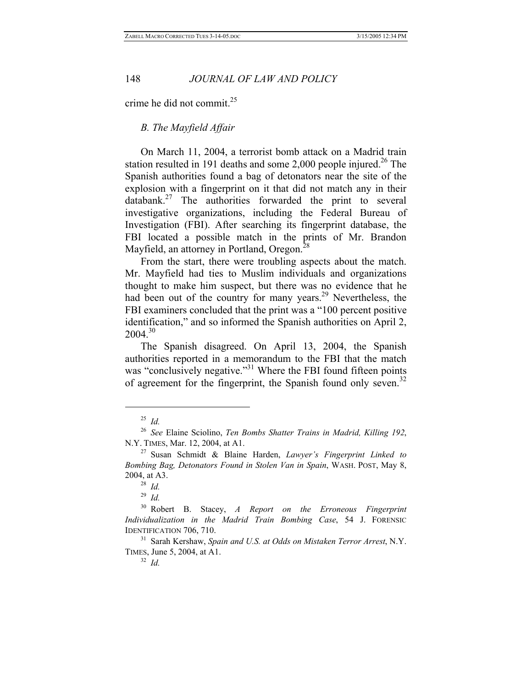crime he did not commit.<sup>25</sup>

# *B. The Mayfield Affair*

On March 11, 2004, a terrorist bomb attack on a Madrid train station resulted in 191 deaths and some  $2,000$  people injured.<sup>26</sup> The Spanish authorities found a bag of detonators near the site of the explosion with a fingerprint on it that did not match any in their databank. $27$  The authorities forwarded the print to several investigative organizations, including the Federal Bureau of Investigation (FBI). After searching its fingerprint database, the FBI located a possible match in the prints of Mr. Brandon Mayfield, an attorney in Portland, Oregon.<sup>2</sup>

From the start, there were troubling aspects about the match. Mr. Mayfield had ties to Muslim individuals and organizations thought to make him suspect, but there was no evidence that he had been out of the country for many years.<sup>29</sup> Nevertheless, the FBI examiners concluded that the print was a "100 percent positive identification," and so informed the Spanish authorities on April 2,  $2004.<sup>30</sup>$ 

The Spanish disagreed. On April 13, 2004, the Spanish authorities reported in a memorandum to the FBI that the match was "conclusively negative."<sup>31</sup> Where the FBI found fifteen points of agreement for the fingerprint, the Spanish found only seven.<sup>32</sup>

 $\overline{a}$ 

<sup>32</sup> *Id.*

<sup>25</sup> *Id.*

<sup>26</sup> *See* Elaine Sciolino, *Ten Bombs Shatter Trains in Madrid, Killing 192*, N.Y. TIMES, Mar. 12, 2004, at A1. 27 Susan Schmidt & Blaine Harden, *Lawyer's Fingerprint Linked to* 

*Bombing Bag, Detonators Found in Stolen Van in Spain*, WASH. POST, May 8, 2004, at A3. 28 *Id.*

<sup>29</sup> *Id.*

<sup>30</sup> Robert B. Stacey, *A Report on the Erroneous Fingerprint Individualization in the Madrid Train Bombing Case*, 54 J. FORENSIC IDENTIFICATION 706, 710. 31 Sarah Kershaw, *Spain and U.S. at Odds on Mistaken Terror Arrest*, N.Y.

TIMES, June 5, 2004, at A1.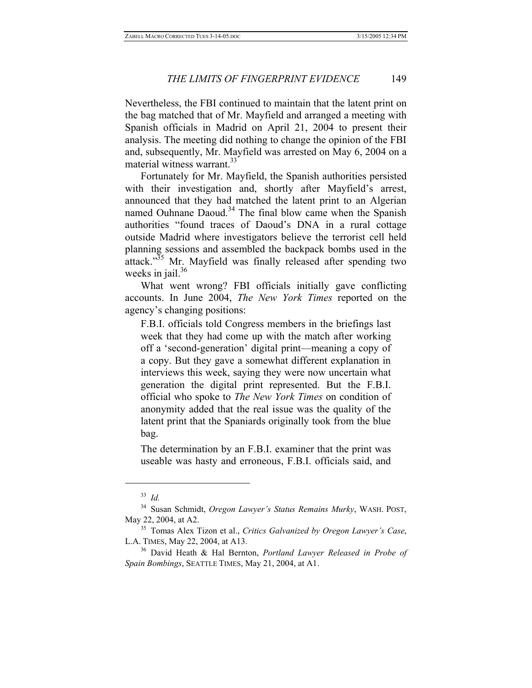Nevertheless, the FBI continued to maintain that the latent print on the bag matched that of Mr. Mayfield and arranged a meeting with Spanish officials in Madrid on April 21, 2004 to present their analysis. The meeting did nothing to change the opinion of the FBI and, subsequently, Mr. Mayfield was arrested on May 6, 2004 on a material witness warrant. $33$ 

Fortunately for Mr. Mayfield, the Spanish authorities persisted with their investigation and, shortly after Mayfield's arrest, announced that they had matched the latent print to an Algerian named Ouhnane Daoud.<sup>34</sup> The final blow came when the Spanish authorities "found traces of Daoud's DNA in a rural cottage outside Madrid where investigators believe the terrorist cell held planning sessions and assembled the backpack bombs used in the attack."<sup>35</sup> Mr. Mayfield was finally released after spending two weeks in jail. $36$ 

What went wrong? FBI officials initially gave conflicting accounts. In June 2004, *The New York Times* reported on the agency's changing positions:

F.B.I. officials told Congress members in the briefings last week that they had come up with the match after working off a 'second-generation' digital print—meaning a copy of a copy. But they gave a somewhat different explanation in interviews this week, saying they were now uncertain what generation the digital print represented. But the F.B.I. official who spoke to *The New York Times* on condition of anonymity added that the real issue was the quality of the latent print that the Spaniards originally took from the blue bag.

The determination by an F.B.I. examiner that the print was useable was hasty and erroneous, F.B.I. officials said, and

<sup>33</sup> *Id.*

<sup>34</sup> Susan Schmidt, *Oregon Lawyer's Status Remains Murky*, WASH. POST, May 22, 2004, at A2. 35 Tomas Alex Tizon et al., *Critics Galvanized by Oregon Lawyer's Case*,

L.A. TIMES, May 22, 2004, at A13. 36 David Heath & Hal Bernton, *Portland Lawyer Released in Probe of* 

*Spain Bombings*, SEATTLE TIMES, May 21, 2004, at A1.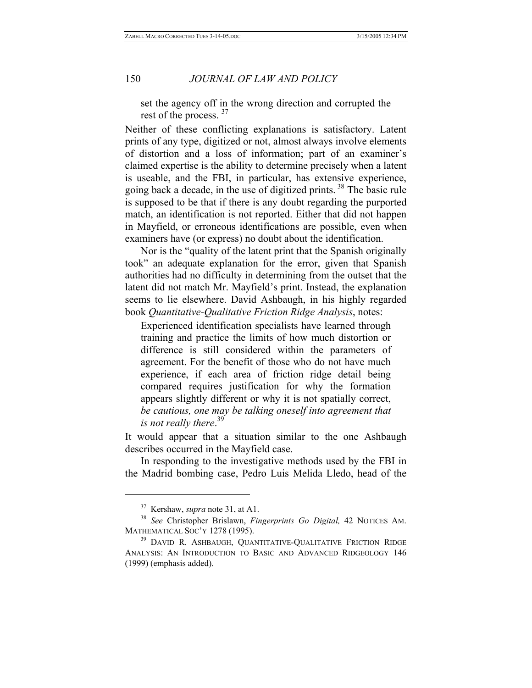set the agency off in the wrong direction and corrupted the rest of the process.<sup>37</sup>

Neither of these conflicting explanations is satisfactory. Latent prints of any type, digitized or not, almost always involve elements of distortion and a loss of information; part of an examiner's claimed expertise is the ability to determine precisely when a latent is useable, and the FBI, in particular, has extensive experience, going back a decade, in the use of digitized prints.<sup>38</sup> The basic rule is supposed to be that if there is any doubt regarding the purported match, an identification is not reported. Either that did not happen in Mayfield, or erroneous identifications are possible, even when examiners have (or express) no doubt about the identification.

Nor is the "quality of the latent print that the Spanish originally took" an adequate explanation for the error, given that Spanish authorities had no difficulty in determining from the outset that the latent did not match Mr. Mayfield's print. Instead, the explanation seems to lie elsewhere. David Ashbaugh, in his highly regarded book *Quantitative-Qualitative Friction Ridge Analysis*, notes:

Experienced identification specialists have learned through training and practice the limits of how much distortion or difference is still considered within the parameters of agreement. For the benefit of those who do not have much experience, if each area of friction ridge detail being compared requires justification for why the formation appears slightly different or why it is not spatially correct, *be cautious, one may be talking oneself into agreement that is not really there*. 39

It would appear that a situation similar to the one Ashbaugh describes occurred in the Mayfield case.

In responding to the investigative methods used by the FBI in the Madrid bombing case, Pedro Luis Melida Lledo, head of the

<sup>&</sup>lt;sup>37</sup> Kershaw, *supra* note 31, at A1.<br><sup>38</sup> *See* Christopher Brislawn, *Fingerprints Go Digital*, 42 NOTICES AM.<br>MATHEMATICAL SOC'Y 1278 (1995).

<sup>&</sup>lt;sup>39</sup> DAVID R. ASHBAUGH, QUANTITATIVE-QUALITATIVE FRICTION RIDGE ANALYSIS: AN INTRODUCTION TO BASIC AND ADVANCED RIDGEOLOGY 146 (1999) (emphasis added).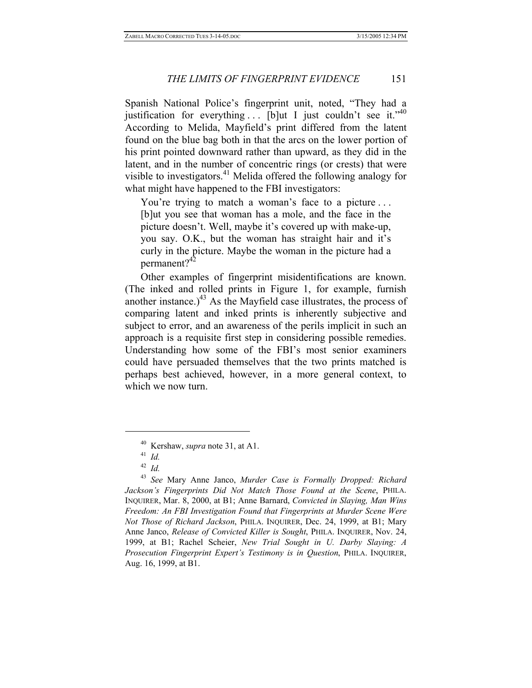Spanish National Police's fingerprint unit, noted, "They had a justification for everything  $\ldots$  [b]ut I just couldn't see it."<sup>40</sup> According to Melida, Mayfield's print differed from the latent found on the blue bag both in that the arcs on the lower portion of his print pointed downward rather than upward, as they did in the latent, and in the number of concentric rings (or crests) that were visible to investigators.<sup>41</sup> Melida offered the following analogy for what might have happened to the FBI investigators:

You're trying to match a woman's face to a picture ... [b]ut you see that woman has a mole, and the face in the picture doesn't. Well, maybe it's covered up with make-up, you say. O.K., but the woman has straight hair and it's curly in the picture. Maybe the woman in the picture had a permanent?<sup>42</sup>

Other examples of fingerprint misidentifications are known. (The inked and rolled prints in Figure 1, for example, furnish another instance.) $^{43}$  As the Mayfield case illustrates, the process of comparing latent and inked prints is inherently subjective and subject to error, and an awareness of the perils implicit in such an approach is a requisite first step in considering possible remedies. Understanding how some of the FBI's most senior examiners could have persuaded themselves that the two prints matched is perhaps best achieved, however, in a more general context, to which we now turn.

<sup>40</sup> Kershaw, *supra* note 31, at A1. 41 *Id.*

<sup>42</sup> *Id.*

<sup>43</sup> *See* Mary Anne Janco, *Murder Case is Formally Dropped: Richard Jackson's Fingerprints Did Not Match Those Found at the Scene*, PHILA. INQUIRER, Mar. 8, 2000, at B1; Anne Barnard, *Convicted in Slaying, Man Wins Freedom: An FBI Investigation Found that Fingerprints at Murder Scene Were Not Those of Richard Jackson*, PHILA. INQUIRER, Dec. 24, 1999, at B1; Mary Anne Janco, *Release of Convicted Killer is Sought*, PHILA. INQUIRER, Nov. 24, 1999, at B1; Rachel Scheier, *New Trial Sought in U. Darby Slaying: A Prosecution Fingerprint Expert's Testimony is in Question*, PHILA. INQUIRER, Aug. 16, 1999, at B1.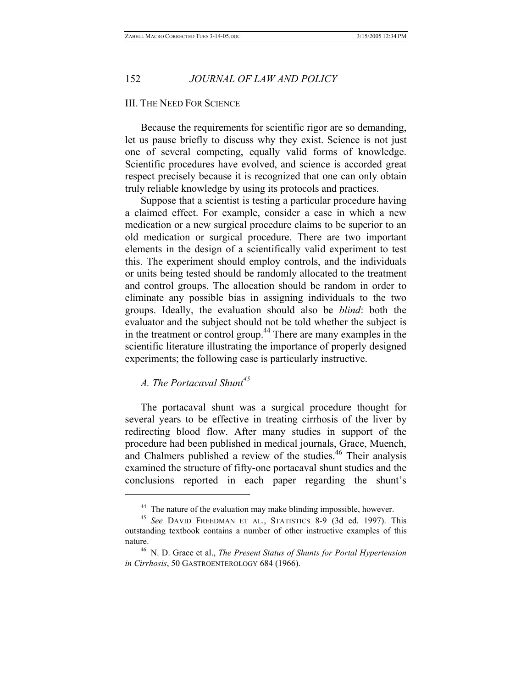### III. THE NEED FOR SCIENCE

Because the requirements for scientific rigor are so demanding, let us pause briefly to discuss why they exist. Science is not just one of several competing, equally valid forms of knowledge. Scientific procedures have evolved, and science is accorded great respect precisely because it is recognized that one can only obtain truly reliable knowledge by using its protocols and practices.

Suppose that a scientist is testing a particular procedure having a claimed effect. For example, consider a case in which a new medication or a new surgical procedure claims to be superior to an old medication or surgical procedure. There are two important elements in the design of a scientifically valid experiment to test this. The experiment should employ controls, and the individuals or units being tested should be randomly allocated to the treatment and control groups. The allocation should be random in order to eliminate any possible bias in assigning individuals to the two groups. Ideally, the evaluation should also be *blind*: both the evaluator and the subject should not be told whether the subject is in the treatment or control group.<sup>44</sup> There are many examples in the scientific literature illustrating the importance of properly designed experiments; the following case is particularly instructive.

# *A. The Portacaval Shunt<sup>45</sup>*

 $\overline{a}$ 

The portacaval shunt was a surgical procedure thought for several years to be effective in treating cirrhosis of the liver by redirecting blood flow. After many studies in support of the procedure had been published in medical journals, Grace, Muench, and Chalmers published a review of the studies.<sup>46</sup> Their analysis examined the structure of fifty-one portacaval shunt studies and the conclusions reported in each paper regarding the shunt's

<sup>&</sup>lt;sup>44</sup> The nature of the evaluation may make blinding impossible, however.<br><sup>45</sup> *See* DAVID FREEDMAN ET AL., STATISTICS 8-9 (3d ed. 1997). This

outstanding textbook contains a number of other instructive examples of this nature.<br><sup>46</sup> N. D. Grace et al., *The Present Status of Shunts for Portal Hypertension* 

*in Cirrhosis*, 50 GASTROENTEROLOGY 684 (1966).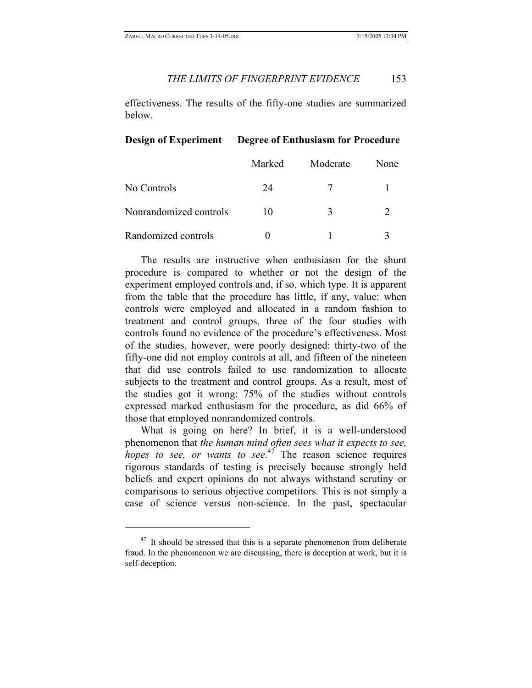effectiveness. The results of the fifty-one studies are summarized below.

## **Design of Experiment Degree of Enthusiasm for Procedure**

|                        | Marked | Moderate    | None |
|------------------------|--------|-------------|------|
| No Controls            | 24     |             |      |
| Nonrandomized controls | 10     | $\mathbf 3$ |      |
| Randomized controls    |        |             |      |

The results are instructive when enthusiasm for the shunt procedure is compared to whether or not the design of the experiment employed controls and, if so, which type. It is apparent from the table that the procedure has little, if any, value: when controls were employed and allocated in a random fashion to treatment and control groups, three of the four studies with controls found no evidence of the procedure's effectiveness. Most of the studies, however, were poorly designed: thirty-two of the fifty-one did not employ controls at all, and fifteen of the nineteen that did use controls failed to use randomization to allocate subjects to the treatment and control groups. As a result, most of the studies got it wrong: 75% of the studies without controls expressed marked enthusiasm for the procedure, as did 66% of those that employed nonrandomized controls.

What is going on here? In brief, it is a well-understood phenomenon that *the human mind often sees what it expects to see, hopes to see, or wants to see.*<sup>47</sup> The reason science requires rigorous standards of testing is precisely because strongly held beliefs and expert opinions do not always withstand scrutiny or comparisons to serious objective competitors. This is not simply a case of science versus non-science. In the past, spectacular

 $47$  It should be stressed that this is a separate phenomenon from deliberate fraud. In the phenomenon we are discussing, there is deception at work, but it is self-deception.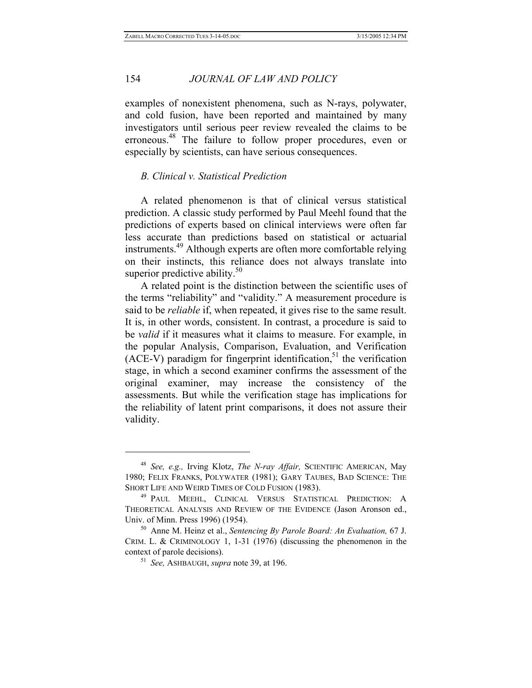examples of nonexistent phenomena, such as N-rays, polywater, and cold fusion, have been reported and maintained by many investigators until serious peer review revealed the claims to be erroneous.48 The failure to follow proper procedures, even or especially by scientists, can have serious consequences.

# *B. Clinical v. Statistical Prediction*

A related phenomenon is that of clinical versus statistical prediction. A classic study performed by Paul Meehl found that the predictions of experts based on clinical interviews were often far less accurate than predictions based on statistical or actuarial instruments.<sup>49</sup> Although experts are often more comfortable relying on their instincts, this reliance does not always translate into superior predictive ability. $50^{\circ}$ 

A related point is the distinction between the scientific uses of the terms "reliability" and "validity." A measurement procedure is said to be *reliable* if, when repeated, it gives rise to the same result. It is, in other words, consistent. In contrast, a procedure is said to be *valid* if it measures what it claims to measure. For example, in the popular Analysis, Comparison, Evaluation, and Verification (ACE-V) paradigm for fingerprint identification,<sup>51</sup> the verification stage, in which a second examiner confirms the assessment of the original examiner, may increase the consistency of the assessments. But while the verification stage has implications for the reliability of latent print comparisons, it does not assure their validity.

<sup>48</sup> *See, e.g.,* Irving Klotz, *The N-ray Affair,* SCIENTIFIC AMERICAN, May 1980; FELIX FRANKS, POLYWATER (1981); GARY TAUBES, BAD SCIENCE: THE SHORT LIFE AND WEIRD TIMES OF COLD FUSION (1983).<br><sup>49</sup> PAUL MEEHL, CLINICAL VERSUS STATISTICAL PREDICTION: A

THEORETICAL ANALYSIS AND REVIEW OF THE EVIDENCE (Jason Aronson ed., Univ. of Minn. Press 1996) (1954). 50 Anne M. Heinz et al., *Sentencing By Parole Board: An Evaluation,* 67 J.

CRIM. L. & CRIMINOLOGY 1, 1-31 (1976) (discussing the phenomenon in the context of parole decisions). 51 *See,* ASHBAUGH, *supra* note 39, at 196.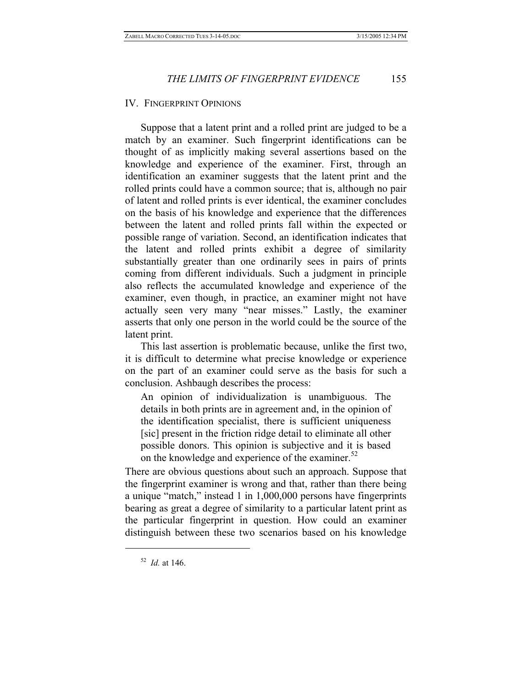## IV. FINGERPRINT OPINIONS

Suppose that a latent print and a rolled print are judged to be a match by an examiner. Such fingerprint identifications can be thought of as implicitly making several assertions based on the knowledge and experience of the examiner. First, through an identification an examiner suggests that the latent print and the rolled prints could have a common source; that is, although no pair of latent and rolled prints is ever identical, the examiner concludes on the basis of his knowledge and experience that the differences between the latent and rolled prints fall within the expected or possible range of variation. Second, an identification indicates that the latent and rolled prints exhibit a degree of similarity substantially greater than one ordinarily sees in pairs of prints coming from different individuals. Such a judgment in principle also reflects the accumulated knowledge and experience of the examiner, even though, in practice, an examiner might not have actually seen very many "near misses." Lastly, the examiner asserts that only one person in the world could be the source of the latent print.

This last assertion is problematic because, unlike the first two, it is difficult to determine what precise knowledge or experience on the part of an examiner could serve as the basis for such a conclusion. Ashbaugh describes the process:

An opinion of individualization is unambiguous. The details in both prints are in agreement and, in the opinion of the identification specialist, there is sufficient uniqueness [sic] present in the friction ridge detail to eliminate all other possible donors. This opinion is subjective and it is based on the knowledge and experience of the examiner.<sup>52</sup>

There are obvious questions about such an approach. Suppose that the fingerprint examiner is wrong and that, rather than there being a unique "match," instead 1 in 1,000,000 persons have fingerprints bearing as great a degree of similarity to a particular latent print as the particular fingerprint in question. How could an examiner distinguish between these two scenarios based on his knowledge

<sup>52</sup> *Id.* at 146.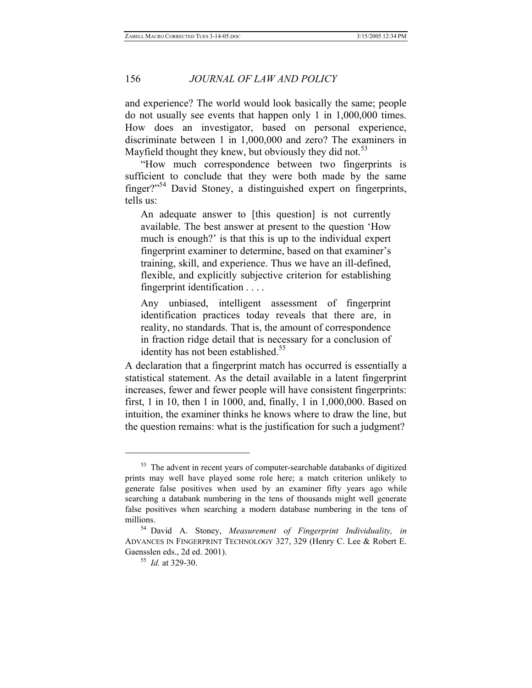and experience? The world would look basically the same; people do not usually see events that happen only 1 in 1,000,000 times. How does an investigator, based on personal experience, discriminate between 1 in 1,000,000 and zero? The examiners in Mayfield thought they knew, but obviously they did not.<sup>53</sup>

"How much correspondence between two fingerprints is sufficient to conclude that they were both made by the same finger?"<sup>54</sup> David Stoney, a distinguished expert on fingerprints, tells us:

An adequate answer to [this question] is not currently available. The best answer at present to the question 'How much is enough?' is that this is up to the individual expert fingerprint examiner to determine, based on that examiner's training, skill, and experience. Thus we have an ill-defined, flexible, and explicitly subjective criterion for establishing fingerprint identification . . . .

Any unbiased, intelligent assessment of fingerprint identification practices today reveals that there are, in reality, no standards. That is, the amount of correspondence in fraction ridge detail that is necessary for a conclusion of identity has not been established.<sup>55</sup>

A declaration that a fingerprint match has occurred is essentially a statistical statement. As the detail available in a latent fingerprint increases, fewer and fewer people will have consistent fingerprints: first, 1 in 10, then 1 in 1000, and, finally, 1 in 1,000,000. Based on intuition, the examiner thinks he knows where to draw the line, but the question remains: what is the justification for such a judgment?

<u>.</u>

<sup>&</sup>lt;sup>53</sup> The advent in recent years of computer-searchable databanks of digitized prints may well have played some role here; a match criterion unlikely to generate false positives when used by an examiner fifty years ago while searching a databank numbering in the tens of thousands might well generate false positives when searching a modern database numbering in the tens of millions. 54 David A. Stoney, *Measurement of Fingerprint Individuality, in* 

ADVANCES IN FINGERPRINT TECHNOLOGY 327, 329 (Henry C. Lee & Robert E. Gaensslen eds., 2d ed. 2001). 55 *Id.* at 329-30.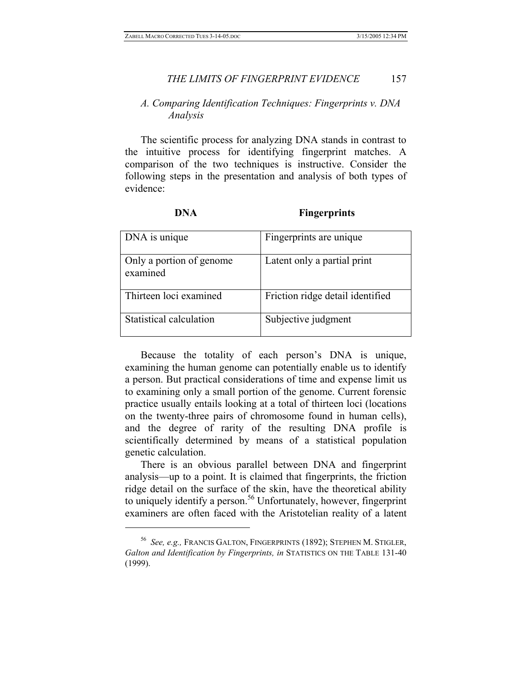# *A. Comparing Identification Techniques: Fingerprints v. DNA Analysis*

The scientific process for analyzing DNA stands in contrast to the intuitive process for identifying fingerprint matches. A comparison of the two techniques is instructive. Consider the following steps in the presentation and analysis of both types of evidence:

 $\overline{a}$ 

# **Fingerprints**

| DNA is unique                        | Fingerprints are unique          |
|--------------------------------------|----------------------------------|
| Only a portion of genome<br>examined | Latent only a partial print      |
| Thirteen loci examined               | Friction ridge detail identified |
| Statistical calculation              | Subjective judgment              |

Because the totality of each person's DNA is unique, examining the human genome can potentially enable us to identify a person. But practical considerations of time and expense limit us to examining only a small portion of the genome. Current forensic practice usually entails looking at a total of thirteen loci (locations on the twenty-three pairs of chromosome found in human cells), and the degree of rarity of the resulting DNA profile is scientifically determined by means of a statistical population genetic calculation.

There is an obvious parallel between DNA and fingerprint analysis—up to a point. It is claimed that fingerprints, the friction ridge detail on the surface of the skin, have the theoretical ability to uniquely identify a person.<sup>56</sup> Unfortunately, however, fingerprint examiners are often faced with the Aristotelian reality of a latent

<sup>56</sup> *See, e.g.,* FRANCIS GALTON, FINGERPRINTS (1892); STEPHEN M. STIGLER, *Galton and Identification by Fingerprints, in* STATISTICS ON THE TABLE 131-40 (1999).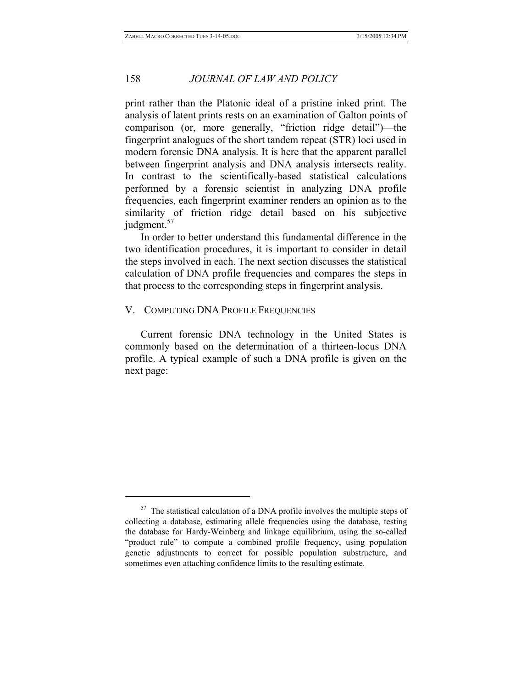print rather than the Platonic ideal of a pristine inked print. The analysis of latent prints rests on an examination of Galton points of comparison (or, more generally, "friction ridge detail")—the fingerprint analogues of the short tandem repeat (STR) loci used in modern forensic DNA analysis. It is here that the apparent parallel between fingerprint analysis and DNA analysis intersects reality. In contrast to the scientifically-based statistical calculations performed by a forensic scientist in analyzing DNA profile frequencies, each fingerprint examiner renders an opinion as to the similarity of friction ridge detail based on his subjective judgment.<sup>57</sup>

In order to better understand this fundamental difference in the two identification procedures, it is important to consider in detail the steps involved in each. The next section discusses the statistical calculation of DNA profile frequencies and compares the steps in that process to the corresponding steps in fingerprint analysis.

# V. COMPUTING DNA PROFILE FREQUENCIES

 $\overline{a}$ 

Current forensic DNA technology in the United States is commonly based on the determination of a thirteen-locus DNA profile. A typical example of such a DNA profile is given on the next page:

 $57$  The statistical calculation of a DNA profile involves the multiple steps of collecting a database, estimating allele frequencies using the database, testing the database for Hardy-Weinberg and linkage equilibrium, using the so-called "product rule" to compute a combined profile frequency, using population genetic adjustments to correct for possible population substructure, and sometimes even attaching confidence limits to the resulting estimate.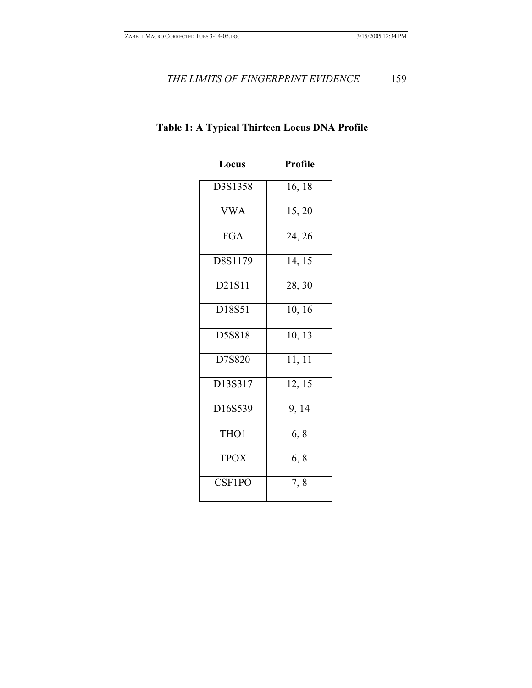# **Locus Profile** D3S1358 16, 18 VWA 15, 20 FGA 24, 26 D8S1179 14, 15 D21S11 28, 30 D18S51 10, 16 D5S818 10, 13 D7S820 11, 11 D13S317 12, 15 D16S539 9, 14 THO1  $6, 8$  $TPOX \t\t\t 6, 8$ CSF1PO 7, 8

# **Table 1: A Typical Thirteen Locus DNA Profile**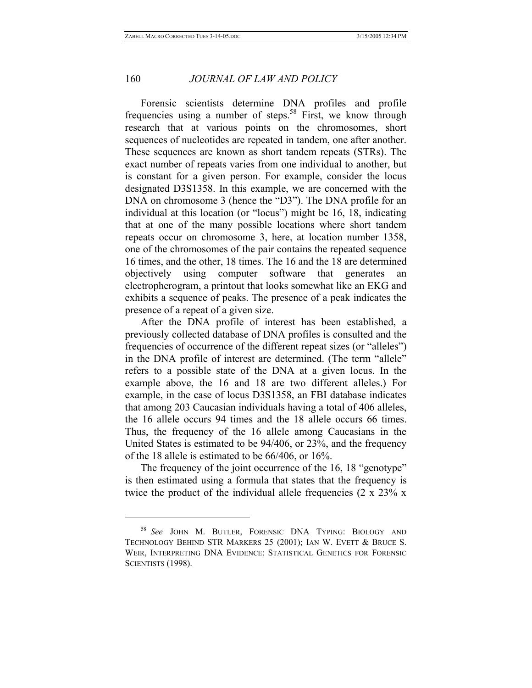Forensic scientists determine DNA profiles and profile frequencies using a number of steps.<sup>58</sup> First, we know through research that at various points on the chromosomes, short sequences of nucleotides are repeated in tandem, one after another. These sequences are known as short tandem repeats (STRs). The exact number of repeats varies from one individual to another, but is constant for a given person. For example, consider the locus designated D3S1358. In this example, we are concerned with the DNA on chromosome 3 (hence the "D3"). The DNA profile for an individual at this location (or "locus") might be 16, 18, indicating that at one of the many possible locations where short tandem repeats occur on chromosome 3, here, at location number 1358, one of the chromosomes of the pair contains the repeated sequence 16 times, and the other, 18 times. The 16 and the 18 are determined objectively using computer software that generates an electropherogram, a printout that looks somewhat like an EKG and exhibits a sequence of peaks. The presence of a peak indicates the presence of a repeat of a given size.

After the DNA profile of interest has been established, a previously collected database of DNA profiles is consulted and the frequencies of occurrence of the different repeat sizes (or "alleles") in the DNA profile of interest are determined. (The term "allele" refers to a possible state of the DNA at a given locus. In the example above, the 16 and 18 are two different alleles.) For example, in the case of locus D3S1358, an FBI database indicates that among 203 Caucasian individuals having a total of 406 alleles, the 16 allele occurs 94 times and the 18 allele occurs 66 times. Thus, the frequency of the 16 allele among Caucasians in the United States is estimated to be 94/406, or 23%, and the frequency of the 18 allele is estimated to be 66/406, or 16%.

The frequency of the joint occurrence of the 16, 18 "genotype" is then estimated using a formula that states that the frequency is twice the product of the individual allele frequencies (2 x 23% x

1

<sup>58</sup> *See* JOHN M. BUTLER, FORENSIC DNA TYPING: BIOLOGY AND TECHNOLOGY BEHIND STR MARKERS 25 (2001); IAN W. EVETT & BRUCE S. WEIR, INTERPRETING DNA EVIDENCE: STATISTICAL GENETICS FOR FORENSIC SCIENTISTS (1998).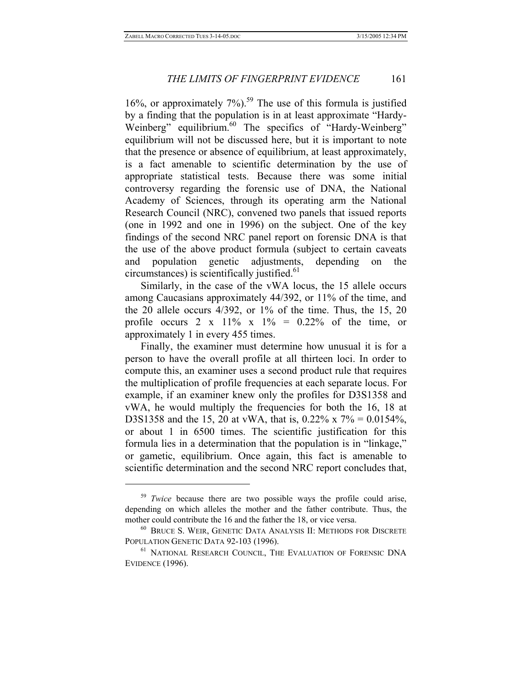16%, or approximately  $7\%$ ).<sup>59</sup> The use of this formula is justified by a finding that the population is in at least approximate "Hardy-Weinberg" equilibrium.<sup>60</sup> The specifics of "Hardy-Weinberg" equilibrium will not be discussed here, but it is important to note that the presence or absence of equilibrium, at least approximately, is a fact amenable to scientific determination by the use of appropriate statistical tests. Because there was some initial controversy regarding the forensic use of DNA, the National Academy of Sciences, through its operating arm the National Research Council (NRC), convened two panels that issued reports (one in 1992 and one in 1996) on the subject. One of the key findings of the second NRC panel report on forensic DNA is that the use of the above product formula (subject to certain caveats and population genetic adjustments, depending on the  $circumstances)$  is scientifically justified.<sup>61</sup>

Similarly, in the case of the vWA locus, the 15 allele occurs among Caucasians approximately 44/392, or 11% of the time, and the 20 allele occurs 4/392, or 1% of the time. Thus, the 15, 20 profile occurs 2 x 11% x 1% =  $0.22\%$  of the time, or approximately 1 in every 455 times.

Finally, the examiner must determine how unusual it is for a person to have the overall profile at all thirteen loci. In order to compute this, an examiner uses a second product rule that requires the multiplication of profile frequencies at each separate locus. For example, if an examiner knew only the profiles for D3S1358 and vWA, he would multiply the frequencies for both the 16, 18 at D3S1358 and the 15, 20 at vWA, that is, 0.22% x 7% = 0.0154%, or about 1 in 6500 times. The scientific justification for this formula lies in a determination that the population is in "linkage," or gametic, equilibrium. Once again, this fact is amenable to scientific determination and the second NRC report concludes that,

<sup>&</sup>lt;sup>59</sup> *Twice* because there are two possible ways the profile could arise, depending on which alleles the mother and the father contribute. Thus, the mother could contribute the 16 and the father the 18, or vice versa.<br><sup>60</sup> BRUCE S. WEIR, GENETIC DATA ANALYSIS II: METHODS FOR DISCRETE

POPULATION GENETIC DATA 92-103 (1996).<br><sup>61</sup> NATIONAL RESEARCH COUNCIL, THE EVALUATION OF FORENSIC DNA

EVIDENCE (1996).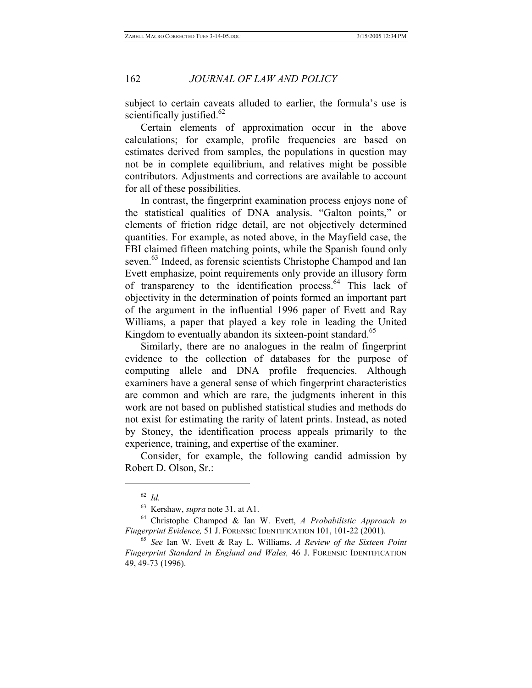subject to certain caveats alluded to earlier, the formula's use is scientifically justified. $62$ 

Certain elements of approximation occur in the above calculations; for example, profile frequencies are based on estimates derived from samples, the populations in question may not be in complete equilibrium, and relatives might be possible contributors. Adjustments and corrections are available to account for all of these possibilities.

In contrast, the fingerprint examination process enjoys none of the statistical qualities of DNA analysis. "Galton points," or elements of friction ridge detail, are not objectively determined quantities. For example, as noted above, in the Mayfield case, the FBI claimed fifteen matching points, while the Spanish found only seven.<sup>63</sup> Indeed, as forensic scientists Christophe Champod and Ian Evett emphasize, point requirements only provide an illusory form of transparency to the identification process.<sup>64</sup> This lack of objectivity in the determination of points formed an important part of the argument in the influential 1996 paper of Evett and Ray Williams, a paper that played a key role in leading the United Kingdom to eventually abandon its sixteen-point standard.<sup>65</sup>

Similarly, there are no analogues in the realm of fingerprint evidence to the collection of databases for the purpose of computing allele and DNA profile frequencies. Although examiners have a general sense of which fingerprint characteristics are common and which are rare, the judgments inherent in this work are not based on published statistical studies and methods do not exist for estimating the rarity of latent prints. Instead, as noted by Stoney, the identification process appeals primarily to the experience, training, and expertise of the examiner.

Consider, for example, the following candid admission by Robert D. Olson, Sr.:

<sup>62</sup> *Id.*

<sup>&</sup>lt;sup>63</sup> Kershaw, *supra* note 31, at A1.<br><sup>64</sup> Christophe Champod & Ian W. Evett, *A Probabilistic Approach to Fingerprint Evidence*, 51 J. FORENSIC IDENTIFICATION 101, 101-22 (2001).

<sup>&</sup>lt;sup>65</sup> See Ian W. Evett & Ray L. Williams, *A Review of the Sixteen Point Fingerprint Standard in England and Wales,* 46 J. FORENSIC IDENTIFICATION 49, 49-73 (1996).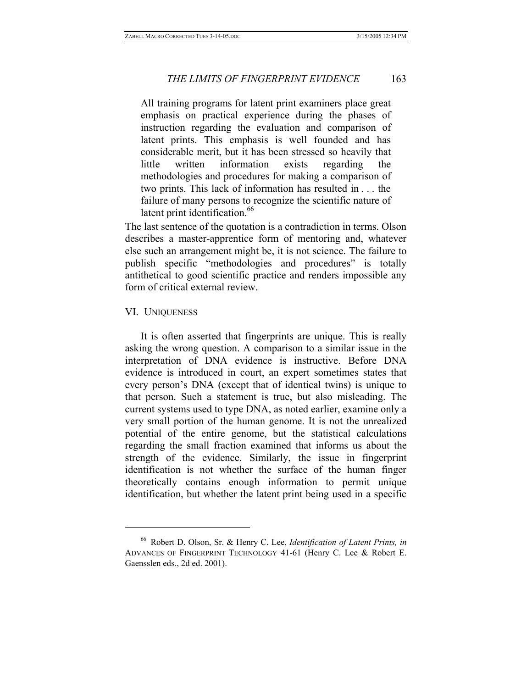All training programs for latent print examiners place great emphasis on practical experience during the phases of instruction regarding the evaluation and comparison of latent prints. This emphasis is well founded and has considerable merit, but it has been stressed so heavily that little written information exists regarding the methodologies and procedures for making a comparison of two prints. This lack of information has resulted in . . . the failure of many persons to recognize the scientific nature of latent print identification.<sup>66</sup>

The last sentence of the quotation is a contradiction in terms. Olson describes a master-apprentice form of mentoring and, whatever else such an arrangement might be, it is not science. The failure to publish specific "methodologies and procedures" is totally antithetical to good scientific practice and renders impossible any form of critical external review.

# VI. UNIQUENESS

 $\overline{a}$ 

It is often asserted that fingerprints are unique. This is really asking the wrong question. A comparison to a similar issue in the interpretation of DNA evidence is instructive. Before DNA evidence is introduced in court, an expert sometimes states that every person's DNA (except that of identical twins) is unique to that person. Such a statement is true, but also misleading. The current systems used to type DNA, as noted earlier, examine only a very small portion of the human genome. It is not the unrealized potential of the entire genome, but the statistical calculations regarding the small fraction examined that informs us about the strength of the evidence. Similarly, the issue in fingerprint identification is not whether the surface of the human finger theoretically contains enough information to permit unique identification, but whether the latent print being used in a specific

<sup>66</sup> Robert D. Olson, Sr. & Henry C. Lee, *Identification of Latent Prints, in*  ADVANCES OF FINGERPRINT TECHNOLOGY 41-61 (Henry C. Lee & Robert E. Gaensslen eds., 2d ed. 2001).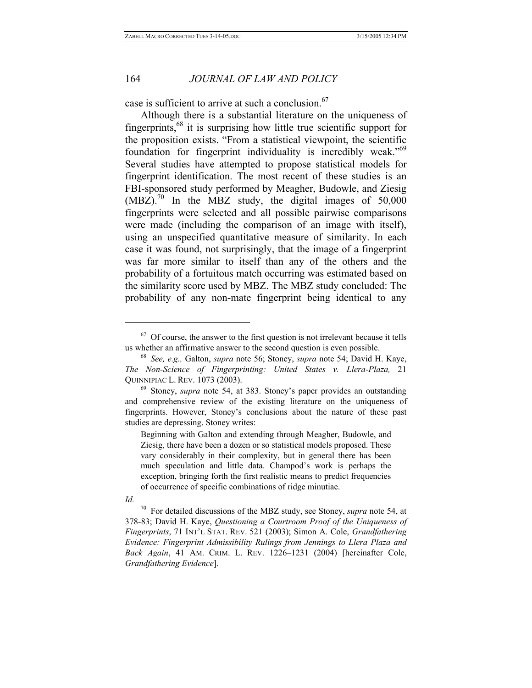case is sufficient to arrive at such a conclusion.<sup>67</sup>

Although there is a substantial literature on the uniqueness of fingerprints, $68$  it is surprising how little true scientific support for the proposition exists. "From a statistical viewpoint, the scientific foundation for fingerprint individuality is incredibly weak."<sup>69</sup> Several studies have attempted to propose statistical models for fingerprint identification. The most recent of these studies is an FBI-sponsored study performed by Meagher, Budowle, and Ziesig  $(MBZ)$ .<sup>70</sup> In the MBZ study, the digital images of 50,000 fingerprints were selected and all possible pairwise comparisons were made (including the comparison of an image with itself), using an unspecified quantitative measure of similarity. In each case it was found, not surprisingly, that the image of a fingerprint was far more similar to itself than any of the others and the probability of a fortuitous match occurring was estimated based on the similarity score used by MBZ. The MBZ study concluded: The probability of any non-mate fingerprint being identical to any

*Id.*

 $\overline{a}$ 

<sup>70</sup> For detailed discussions of the MBZ study, see Stoney, *supra* note 54, at 378-83; David H. Kaye, *Questioning a Courtroom Proof of the Uniqueness of Fingerprints*, 71 INT'L STAT. REV. 521 (2003); Simon A. Cole, *Grandfathering Evidence: Fingerprint Admissibility Rulings from Jennings to Llera Plaza and Back Again*, 41 AM. CRIM. L. REV. 1226–1231 (2004) [hereinafter Cole, *Grandfathering Evidence*].

 $67$  Of course, the answer to the first question is not irrelevant because it tells us whether an affirmative answer to the second question is even possible. 68 *See, e.g.,* Galton, *supra* note 56; Stoney, *supra* note 54; David H. Kaye,

*The Non-Science of Fingerprinting: United States v. Llera-Plaza,* 21 QUINNIPIAC L. REV. 1073 (2003). 69 Stoney, *supra* note 54, at 383. Stoney's paper provides an outstanding

and comprehensive review of the existing literature on the uniqueness of fingerprints. However, Stoney's conclusions about the nature of these past studies are depressing. Stoney writes:

Beginning with Galton and extending through Meagher, Budowle, and Ziesig, there have been a dozen or so statistical models proposed. These vary considerably in their complexity, but in general there has been much speculation and little data. Champod's work is perhaps the exception, bringing forth the first realistic means to predict frequencies of occurrence of specific combinations of ridge minutiae.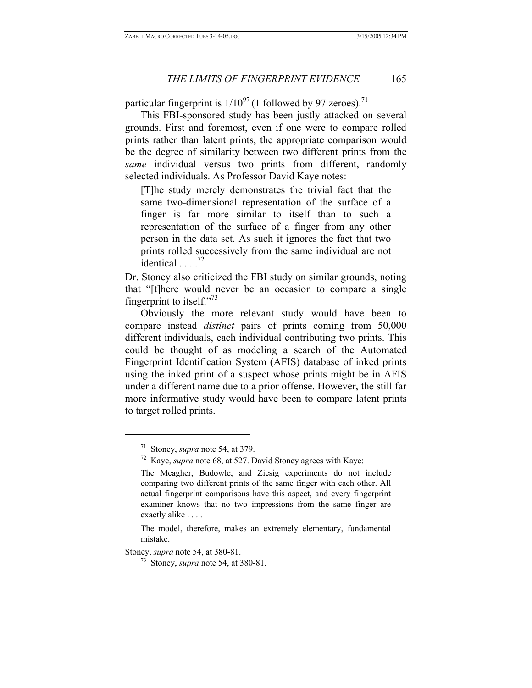particular fingerprint is  $1/10^{97}$  (1 followed by 97 zeroes).<sup>71</sup>

This FBI-sponsored study has been justly attacked on several grounds. First and foremost, even if one were to compare rolled prints rather than latent prints, the appropriate comparison would be the degree of similarity between two different prints from the *same* individual versus two prints from different, randomly selected individuals. As Professor David Kaye notes:

[T]he study merely demonstrates the trivial fact that the same two-dimensional representation of the surface of a finger is far more similar to itself than to such a representation of the surface of a finger from any other person in the data set. As such it ignores the fact that two prints rolled successively from the same individual are not identical  $\ldots$ <sup>72</sup>

Dr. Stoney also criticized the FBI study on similar grounds, noting that "[t]here would never be an occasion to compare a single fingerprint to itself."<sup>73</sup>

Obviously the more relevant study would have been to compare instead *distinct* pairs of prints coming from 50,000 different individuals, each individual contributing two prints. This could be thought of as modeling a search of the Automated Fingerprint Identification System (AFIS) database of inked prints using the inked print of a suspect whose prints might be in AFIS under a different name due to a prior offense. However, the still far more informative study would have been to compare latent prints to target rolled prints.

<sup>&</sup>lt;sup>71</sup> Stoney, *supra* note 54, at 379.<br><sup>72</sup> Kave, *supra* note 68, at 527. David Stoney agrees with Kaye:

The Meagher, Budowle, and Ziesig experiments do not include comparing two different prints of the same finger with each other. All actual fingerprint comparisons have this aspect, and every fingerprint examiner knows that no two impressions from the same finger are exactly alike . . . .

The model, therefore, makes an extremely elementary, fundamental mistake.

Stoney, *supra* note 54, at 380-81. 73 Stoney, *supra* note 54, at 380-81.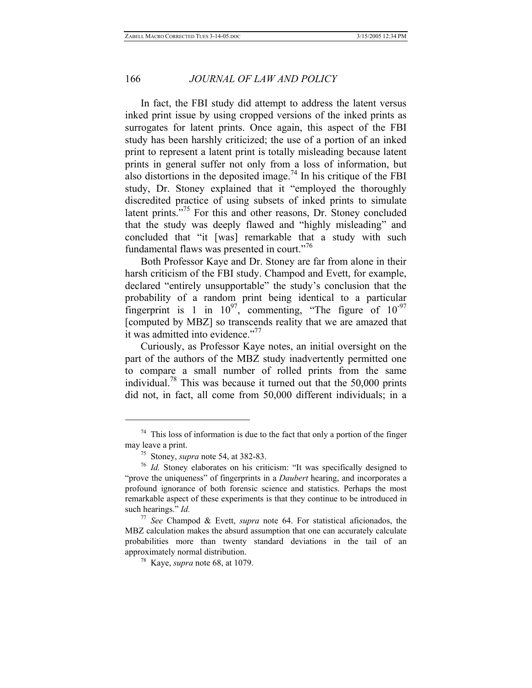In fact, the FBI study did attempt to address the latent versus inked print issue by using cropped versions of the inked prints as surrogates for latent prints. Once again, this aspect of the FBI study has been harshly criticized; the use of a portion of an inked print to represent a latent print is totally misleading because latent prints in general suffer not only from a loss of information, but also distortions in the deposited image.<sup>74</sup> In his critique of the FBI study, Dr. Stoney explained that it "employed the thoroughly discredited practice of using subsets of inked prints to simulate latent prints."<sup>75</sup> For this and other reasons, Dr. Stoney concluded that the study was deeply flawed and "highly misleading" and concluded that "it [was] remarkable that a study with such fundamental flaws was presented in court."<sup>76</sup>

Both Professor Kaye and Dr. Stoney are far from alone in their harsh criticism of the FBI study. Champod and Evett, for example, declared "entirely unsupportable" the study's conclusion that the probability of a random print being identical to a particular fingerprint is 1 in  $10^{97}$ , commenting, "The figure of  $10^{-97}$ [computed by MBZ] so transcends reality that we are amazed that it was admitted into evidence."<sup>77</sup>

Curiously, as Professor Kaye notes, an initial oversight on the part of the authors of the MBZ study inadvertently permitted one to compare a small number of rolled prints from the same individual.<sup>78</sup> This was because it turned out that the  $50,000$  prints did not, in fact, all come from 50,000 different individuals; in a

<sup>&</sup>lt;sup>74</sup> This loss of information is due to the fact that only a portion of the finger may leave a print.

<sup>&</sup>lt;sup>75</sup> Stoney, *supra* note 54, at 382-83. <sup>76</sup> *Id.* Stoney elaborates on his criticism: "It was specifically designed to "prove the uniqueness" of fingerprints in a *Daubert* hearing, and incorporates a profound ignorance of both forensic science and statistics. Perhaps the most remarkable aspect of these experiments is that they continue to be introduced in such hearings." *Id.*

<sup>77</sup> *See* Champod & Evett, *supra* note 64. For statistical aficionados, the MBZ calculation makes the absurd assumption that one can accurately calculate probabilities more than twenty standard deviations in the tail of an approximately normal distribution. 78 Kaye, *supra* note 68, at 1079.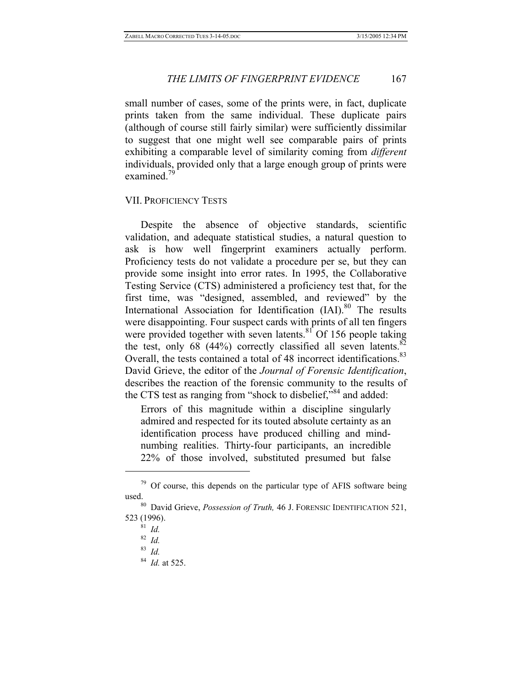small number of cases, some of the prints were, in fact, duplicate prints taken from the same individual. These duplicate pairs (although of course still fairly similar) were sufficiently dissimilar to suggest that one might well see comparable pairs of prints exhibiting a comparable level of similarity coming from *different* individuals, provided only that a large enough group of prints were examined. $<sup>7</sup>$ </sup>

# VII. PROFICIENCY TESTS

Despite the absence of objective standards, scientific validation, and adequate statistical studies, a natural question to ask is how well fingerprint examiners actually perform. Proficiency tests do not validate a procedure per se, but they can provide some insight into error rates. In 1995, the Collaborative Testing Service (CTS) administered a proficiency test that, for the first time, was "designed, assembled, and reviewed" by the International Association for Identification (IAI).<sup>80</sup> The results were disappointing. Four suspect cards with prints of all ten fingers were provided together with seven latents. $81$  Of 156 people taking the test, only 68 (44%) correctly classified all seven latents. $82$ Overall, the tests contained a total of 48 incorrect identifications.<sup>83</sup> David Grieve, the editor of the *Journal of Forensic Identification*, describes the reaction of the forensic community to the results of the CTS test as ranging from "shock to disbelief,"<sup>84</sup> and added:

Errors of this magnitude within a discipline singularly admired and respected for its touted absolute certainty as an identification process have produced chilling and mindnumbing realities. Thirty-four participants, an incredible 22% of those involved, substituted presumed but false

 $79$  Of course, this depends on the particular type of AFIS software being used. 80 David Grieve, *Possession of Truth,* 46 J. FORENSIC IDENTIFICATION 521,

<sup>523 (1996). 81</sup> *Id.*

<sup>82</sup> *Id.*

<sup>83</sup> *Id.*

<sup>84</sup> *Id.* at 525.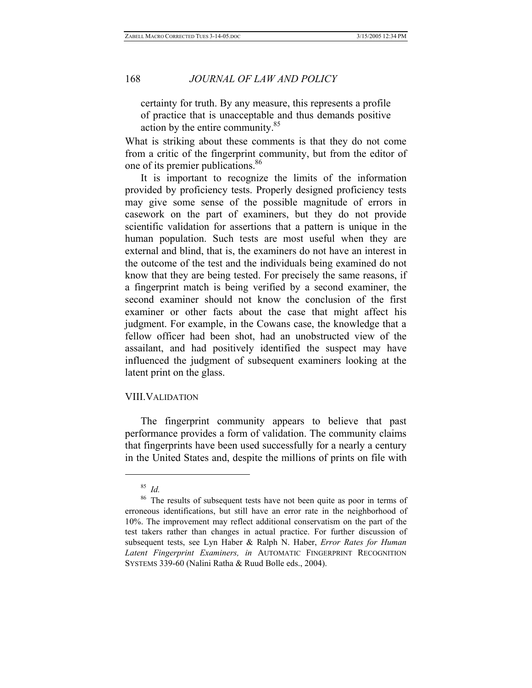certainty for truth. By any measure, this represents a profile of practice that is unacceptable and thus demands positive action by the entire community.<sup>85</sup>

What is striking about these comments is that they do not come from a critic of the fingerprint community, but from the editor of one of its premier publications.<sup>86</sup>

It is important to recognize the limits of the information provided by proficiency tests. Properly designed proficiency tests may give some sense of the possible magnitude of errors in casework on the part of examiners, but they do not provide scientific validation for assertions that a pattern is unique in the human population. Such tests are most useful when they are external and blind, that is, the examiners do not have an interest in the outcome of the test and the individuals being examined do not know that they are being tested. For precisely the same reasons, if a fingerprint match is being verified by a second examiner, the second examiner should not know the conclusion of the first examiner or other facts about the case that might affect his judgment. For example, in the Cowans case, the knowledge that a fellow officer had been shot, had an unobstructed view of the assailant, and had positively identified the suspect may have influenced the judgment of subsequent examiners looking at the latent print on the glass.

## VIII.VALIDATION

The fingerprint community appears to believe that past performance provides a form of validation. The community claims that fingerprints have been used successfully for a nearly a century in the United States and, despite the millions of prints on file with

<sup>85</sup> *Id.*

The results of subsequent tests have not been quite as poor in terms of erroneous identifications, but still have an error rate in the neighborhood of 10%. The improvement may reflect additional conservatism on the part of the test takers rather than changes in actual practice. For further discussion of subsequent tests, see Lyn Haber & Ralph N. Haber, *Error Rates for Human Latent Fingerprint Examiners, in* AUTOMATIC FINGERPRINT RECOGNITION SYSTEMS 339-60 (Nalini Ratha & Ruud Bolle eds., 2004).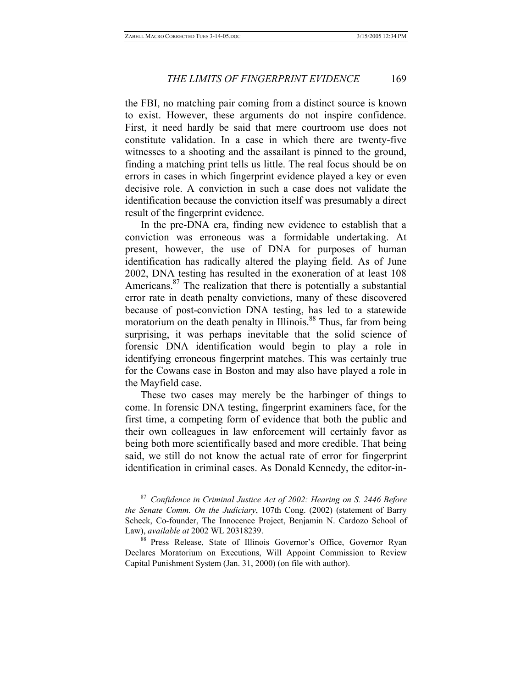$\overline{a}$ 

# *THE LIMITS OF FINGERPRINT EVIDENCE* 169

the FBI, no matching pair coming from a distinct source is known to exist. However, these arguments do not inspire confidence. First, it need hardly be said that mere courtroom use does not constitute validation. In a case in which there are twenty-five witnesses to a shooting and the assailant is pinned to the ground, finding a matching print tells us little. The real focus should be on errors in cases in which fingerprint evidence played a key or even decisive role. A conviction in such a case does not validate the identification because the conviction itself was presumably a direct result of the fingerprint evidence.

In the pre-DNA era, finding new evidence to establish that a conviction was erroneous was a formidable undertaking. At present, however, the use of DNA for purposes of human identification has radically altered the playing field. As of June 2002, DNA testing has resulted in the exoneration of at least 108 Americans. $87$  The realization that there is potentially a substantial error rate in death penalty convictions, many of these discovered because of post-conviction DNA testing, has led to a statewide moratorium on the death penalty in Illinois.<sup>88</sup> Thus, far from being surprising, it was perhaps inevitable that the solid science of forensic DNA identification would begin to play a role in identifying erroneous fingerprint matches. This was certainly true for the Cowans case in Boston and may also have played a role in the Mayfield case.

These two cases may merely be the harbinger of things to come. In forensic DNA testing, fingerprint examiners face, for the first time, a competing form of evidence that both the public and their own colleagues in law enforcement will certainly favor as being both more scientifically based and more credible. That being said, we still do not know the actual rate of error for fingerprint identification in criminal cases. As Donald Kennedy, the editor-in-

<sup>87</sup> *Confidence in Criminal Justice Act of 2002: Hearing on S. 2446 Before the Senate Comm. On the Judiciary*, 107th Cong. (2002) (statement of Barry Scheck, Co-founder, The Innocence Project, Benjamin N. Cardozo School of Law), *available at* 2002 WL 20318239. 88 Press Release, State of Illinois Governor's Office, Governor Ryan

Declares Moratorium on Executions, Will Appoint Commission to Review Capital Punishment System (Jan. 31, 2000) (on file with author).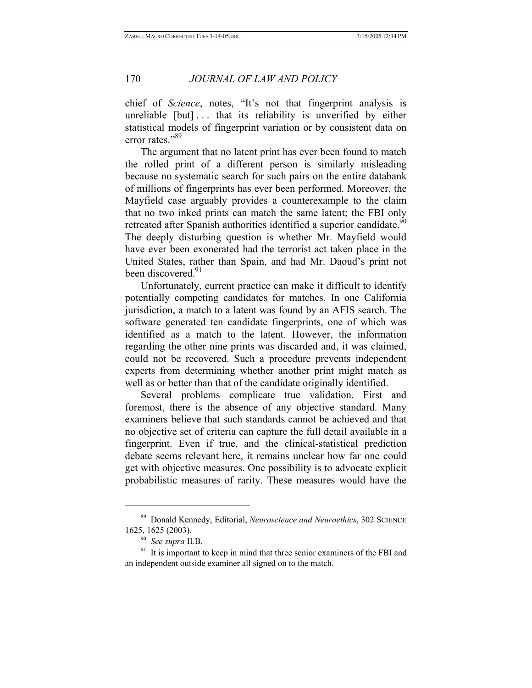chief of *Science*, notes, "It's not that fingerprint analysis is unreliable [but] . . . that its reliability is unverified by either statistical models of fingerprint variation or by consistent data on error rates."<sup>89</sup>

The argument that no latent print has ever been found to match the rolled print of a different person is similarly misleading because no systematic search for such pairs on the entire databank of millions of fingerprints has ever been performed. Moreover, the Mayfield case arguably provides a counterexample to the claim that no two inked prints can match the same latent; the FBI only retreated after Spanish authorities identified a superior candidate.<sup>90</sup> The deeply disturbing question is whether Mr. Mayfield would have ever been exonerated had the terrorist act taken place in the United States, rather than Spain, and had Mr. Daoud's print not been discovered.<sup>91</sup>

Unfortunately, current practice can make it difficult to identify potentially competing candidates for matches. In one California jurisdiction, a match to a latent was found by an AFIS search. The software generated ten candidate fingerprints, one of which was identified as a match to the latent. However, the information regarding the other nine prints was discarded and, it was claimed, could not be recovered. Such a procedure prevents independent experts from determining whether another print might match as well as or better than that of the candidate originally identified.

Several problems complicate true validation. First and foremost, there is the absence of any objective standard. Many examiners believe that such standards cannot be achieved and that no objective set of criteria can capture the full detail available in a fingerprint. Even if true, and the clinical-statistical prediction debate seems relevant here, it remains unclear how far one could get with objective measures. One possibility is to advocate explicit probabilistic measures of rarity. These measures would have the

<sup>89</sup> Donald Kennedy, Editorial, *Neuroscience and Neuroethics*, 302 SCIENCE 1625, 1625 (2003).<br><sup>90</sup> *See supra* II.B.<br><sup>91</sup> It is important to keep in mind that three senior examiners of the FBI and

an independent outside examiner all signed on to the match.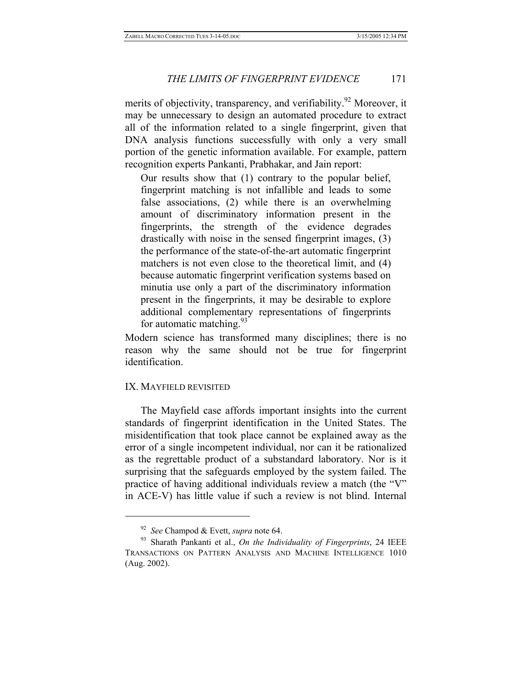merits of objectivity, transparency, and verifiability.<sup>92</sup> Moreover, it may be unnecessary to design an automated procedure to extract all of the information related to a single fingerprint, given that DNA analysis functions successfully with only a very small portion of the genetic information available. For example, pattern recognition experts Pankanti, Prabhakar, and Jain report:

Our results show that (1) contrary to the popular belief, fingerprint matching is not infallible and leads to some false associations, (2) while there is an overwhelming amount of discriminatory information present in the fingerprints, the strength of the evidence degrades drastically with noise in the sensed fingerprint images, (3) the performance of the state-of-the-art automatic fingerprint matchers is not even close to the theoretical limit, and (4) because automatic fingerprint verification systems based on minutia use only a part of the discriminatory information present in the fingerprints, it may be desirable to explore additional complementary representations of fingerprints for automatic matching.  $93$ 

Modern science has transformed many disciplines; there is no reason why the same should not be true for fingerprint identification.

# IX. MAYFIELD REVISITED

 $\overline{a}$ 

The Mayfield case affords important insights into the current standards of fingerprint identification in the United States. The misidentification that took place cannot be explained away as the error of a single incompetent individual, nor can it be rationalized as the regrettable product of a substandard laboratory. Nor is it surprising that the safeguards employed by the system failed. The practice of having additional individuals review a match (the "V" in ACE-V) has little value if such a review is not blind. Internal

<sup>92</sup> *See* Champod & Evett, *supra* note 64. 93 Sharath Pankanti et al., *On the Individuality of Fingerprints*, 24 IEEE TRANSACTIONS ON PATTERN ANALYSIS AND MACHINE INTELLIGENCE 1010 (Aug. 2002).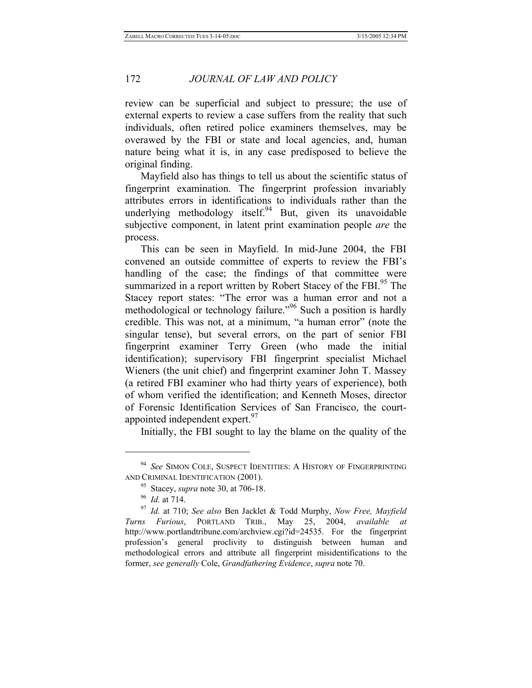review can be superficial and subject to pressure; the use of external experts to review a case suffers from the reality that such individuals, often retired police examiners themselves, may be overawed by the FBI or state and local agencies, and, human nature being what it is, in any case predisposed to believe the original finding.

Mayfield also has things to tell us about the scientific status of fingerprint examination. The fingerprint profession invariably attributes errors in identifications to individuals rather than the underlying methodology itself.  $94$  But, given its unavoidable subjective component, in latent print examination people *are* the process.

This can be seen in Mayfield. In mid-June 2004, the FBI convened an outside committee of experts to review the FBI's handling of the case; the findings of that committee were summarized in a report written by Robert Stacey of the FBI.<sup>95</sup> The Stacey report states: "The error was a human error and not a methodological or technology failure."<sup>96</sup> Such a position is hardly credible. This was not, at a minimum, "a human error" (note the singular tense), but several errors, on the part of senior FBI fingerprint examiner Terry Green (who made the initial identification); supervisory FBI fingerprint specialist Michael Wieners (the unit chief) and fingerprint examiner John T. Massey (a retired FBI examiner who had thirty years of experience), both of whom verified the identification; and Kenneth Moses, director of Forensic Identification Services of San Francisco, the courtappointed independent expert.<sup>97</sup>

Initially, the FBI sought to lay the blame on the quality of the

<sup>94</sup> *See* SIMON COLE, SUSPECT IDENTITIES: A HISTORY OF FINGERPRINTING

AND CRIMINAL IDENTIFICATION (2001).<br><sup>95</sup> Stacey, *supra* note 30, at 706-18.<br><sup>96</sup> *Id.* at 710; *See also* Ben Jacklet & Todd Murphy, *Now Free, Mayfield* <br><sup>97</sup> *Id.* at 710; *See also* Ben Jacklet & Todd Murphy, *Now Free Turns Furious*, PORTLAND TRIB., May 25, 2004, *available at*  http://www.portlandtribune.com/archview.cgi?id=24535. For the fingerprint profession's general proclivity to distinguish between human and methodological errors and attribute all fingerprint misidentifications to the former, *see generally* Cole, *Grandfathering Evidence*, *supra* note 70.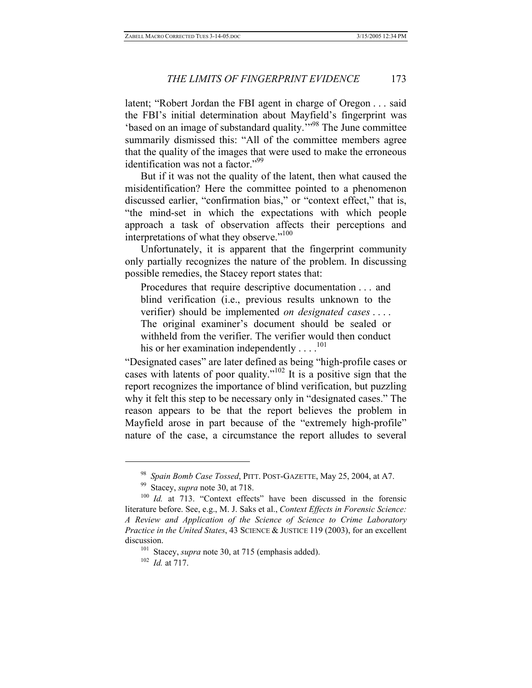latent; "Robert Jordan the FBI agent in charge of Oregon . . . said the FBI's initial determination about Mayfield's fingerprint was 'based on an image of substandard quality.'"98 The June committee summarily dismissed this: "All of the committee members agree that the quality of the images that were used to make the erroneous identification was not a factor."<sup>99</sup>

But if it was not the quality of the latent, then what caused the misidentification? Here the committee pointed to a phenomenon discussed earlier, "confirmation bias," or "context effect," that is, "the mind-set in which the expectations with which people approach a task of observation affects their perceptions and interpretations of what they observe."<sup>100</sup>

Unfortunately, it is apparent that the fingerprint community only partially recognizes the nature of the problem. In discussing possible remedies, the Stacey report states that:

Procedures that require descriptive documentation . . . and blind verification (i.e., previous results unknown to the verifier) should be implemented *on designated cases* . . . . The original examiner's document should be sealed or withheld from the verifier. The verifier would then conduct his or her examination independently  $\dots$ .<sup>101</sup>

"Designated cases" are later defined as being "high-profile cases or cases with latents of poor quality."102 It is a positive sign that the report recognizes the importance of blind verification, but puzzling why it felt this step to be necessary only in "designated cases." The reason appears to be that the report believes the problem in Mayfield arose in part because of the "extremely high-profile" nature of the case, a circumstance the report alludes to several

<sup>&</sup>lt;sup>98</sup> Spain Bomb Case Tossed, PITT. POST-GAZETTE, May 25, 2004, at A7.<br><sup>99</sup> Stacey, *supra* note 30, at 718.<br><sup>100</sup> *Id.* at 713. "Context effects" have been discussed in the forensic

literature before. See, e.g., M. J. Saks et al., *Context Effects in Forensic Science: A Review and Application of the Science of Science to Crime Laboratory Practice in the United States*, 43 SCIENCE & JUSTICE 119 (2003), for an excellent discussion.<br><sup>101</sup> Stacey, *supra* note 30, at 715 (emphasis added).<br><sup>102</sup> *Id.* at 717.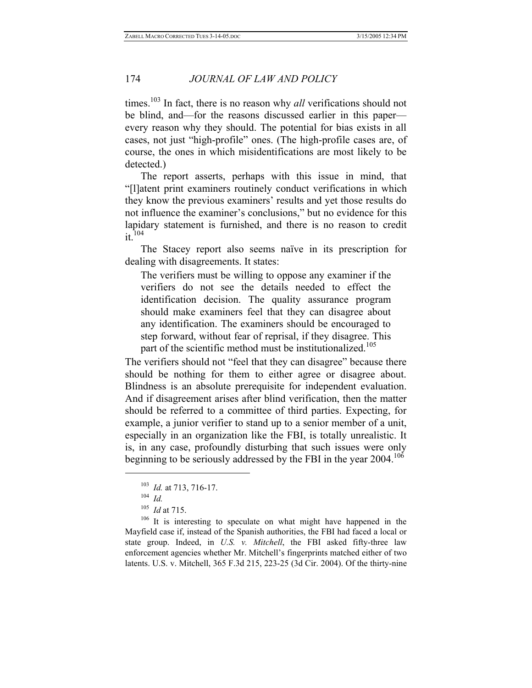times.<sup>103</sup> In fact, there is no reason why *all* verifications should not be blind, and—for the reasons discussed earlier in this paper every reason why they should. The potential for bias exists in all cases, not just "high-profile" ones. (The high-profile cases are, of course, the ones in which misidentifications are most likely to be detected.)

The report asserts, perhaps with this issue in mind, that "[l]atent print examiners routinely conduct verifications in which they know the previous examiners' results and yet those results do not influence the examiner's conclusions," but no evidence for this lapidary statement is furnished, and there is no reason to credit  $it$ <sup>104</sup>

The Stacey report also seems naïve in its prescription for dealing with disagreements. It states:

The verifiers must be willing to oppose any examiner if the verifiers do not see the details needed to effect the identification decision. The quality assurance program should make examiners feel that they can disagree about any identification. The examiners should be encouraged to step forward, without fear of reprisal, if they disagree. This part of the scientific method must be institutionalized.<sup>105</sup>

The verifiers should not "feel that they can disagree" because there should be nothing for them to either agree or disagree about. Blindness is an absolute prerequisite for independent evaluation. And if disagreement arises after blind verification, then the matter should be referred to a committee of third parties. Expecting, for example, a junior verifier to stand up to a senior member of a unit, especially in an organization like the FBI, is totally unrealistic. It is, in any case, profoundly disturbing that such issues were only beginning to be seriously addressed by the FBI in the year  $2004$ .<sup>106</sup>

 $\overline{a}$ 

<sup>106</sup> It is interesting to speculate on what might have happened in the Mayfield case if, instead of the Spanish authorities, the FBI had faced a local or state group. Indeed, in *U.S. v. Mitchell*, the FBI asked fifty-three law enforcement agencies whether Mr. Mitchell's fingerprints matched either of two latents. U.S. v. Mitchell, 365 F.3d 215, 223-25 (3d Cir. 2004). Of the thirty-nine

<sup>103</sup> *Id.* at 713, 716-17. 104 *Id.*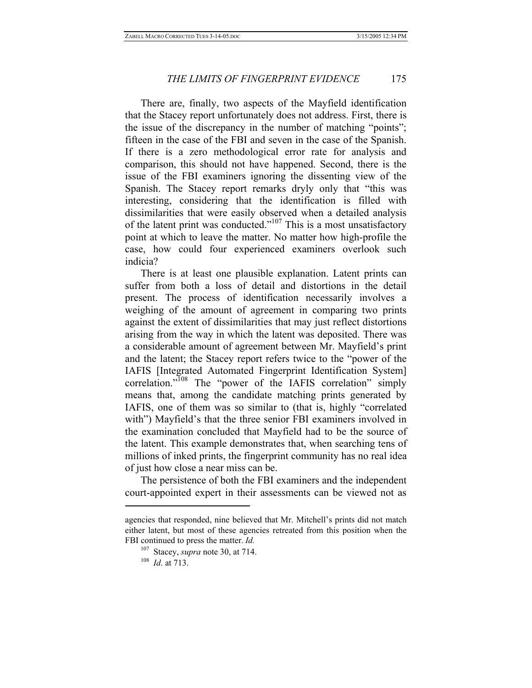There are, finally, two aspects of the Mayfield identification that the Stacey report unfortunately does not address. First, there is the issue of the discrepancy in the number of matching "points"; fifteen in the case of the FBI and seven in the case of the Spanish. If there is a zero methodological error rate for analysis and comparison, this should not have happened. Second, there is the issue of the FBI examiners ignoring the dissenting view of the Spanish. The Stacey report remarks dryly only that "this was interesting, considering that the identification is filled with dissimilarities that were easily observed when a detailed analysis of the latent print was conducted."107 This is a most unsatisfactory point at which to leave the matter. No matter how high-profile the case, how could four experienced examiners overlook such indicia?

There is at least one plausible explanation. Latent prints can suffer from both a loss of detail and distortions in the detail present. The process of identification necessarily involves a weighing of the amount of agreement in comparing two prints against the extent of dissimilarities that may just reflect distortions arising from the way in which the latent was deposited. There was a considerable amount of agreement between Mr. Mayfield's print and the latent; the Stacey report refers twice to the "power of the IAFIS [Integrated Automated Fingerprint Identification System] correlation."<sup>108</sup> The "power of the IAFIS correlation" simply means that, among the candidate matching prints generated by IAFIS, one of them was so similar to (that is, highly "correlated with") Mayfield's that the three senior FBI examiners involved in the examination concluded that Mayfield had to be the source of the latent. This example demonstrates that, when searching tens of millions of inked prints, the fingerprint community has no real idea of just how close a near miss can be.

The persistence of both the FBI examiners and the independent court-appointed expert in their assessments can be viewed not as

agencies that responded, nine believed that Mr. Mitchell's prints did not match either latent, but most of these agencies retreated from this position when the FBI continued to press the matter. *Id.*

<sup>107</sup> Stacey, *supra* note 30, at 714. 108 *Id*. at 713.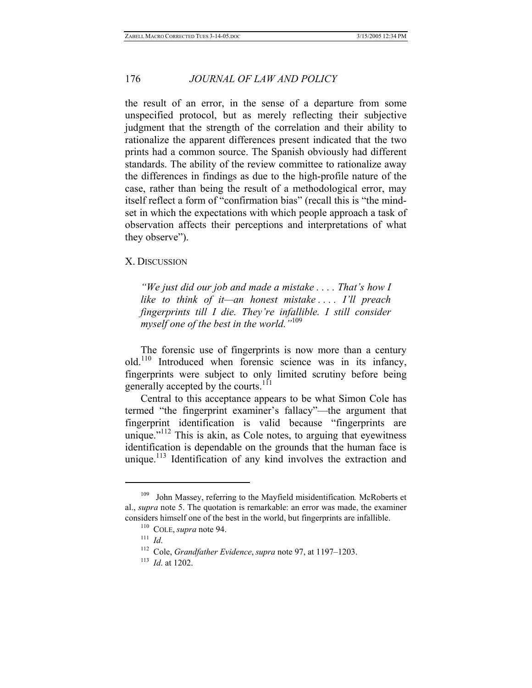the result of an error, in the sense of a departure from some unspecified protocol, but as merely reflecting their subjective judgment that the strength of the correlation and their ability to rationalize the apparent differences present indicated that the two prints had a common source. The Spanish obviously had different standards. The ability of the review committee to rationalize away the differences in findings as due to the high-profile nature of the case, rather than being the result of a methodological error, may itself reflect a form of "confirmation bias" (recall this is "the mindset in which the expectations with which people approach a task of observation affects their perceptions and interpretations of what they observe").

#### X. DISCUSSION

*"We just did our job and made a mistake . . . . That's how I like to think of it—an honest mistake . . . . I'll preach fingerprints till I die. They're infallible. I still consider myself one of the best in the world."*<sup>109</sup>

The forensic use of fingerprints is now more than a century old.<sup>110</sup> Introduced when forensic science was in its infancy, fingerprints were subject to only limited scrutiny before being generally accepted by the courts.<sup>111</sup>

Central to this acceptance appears to be what Simon Cole has termed "the fingerprint examiner's fallacy"—the argument that fingerprint identification is valid because "fingerprints are unique." $112$  This is akin, as Cole notes, to arguing that eyewitness identification is dependable on the grounds that the human face is unique.<sup>113</sup> Identification of any kind involves the extraction and

<sup>109</sup> John Massey, referring to the Mayfield misidentification*.* McRoberts et al., *supra* note 5. The quotation is remarkable: an error was made, the examiner considers himself one of the best in the world, but fingerprints are infallible.<br><sup>110</sup> COLE, *supra* note 94.<br><sup>111</sup> Id.<br><sup>112</sup> Cole, *Grandfather Evidence*, *supra* note 97, at 1197–1203.<br><sup>113</sup> Id. at 1202.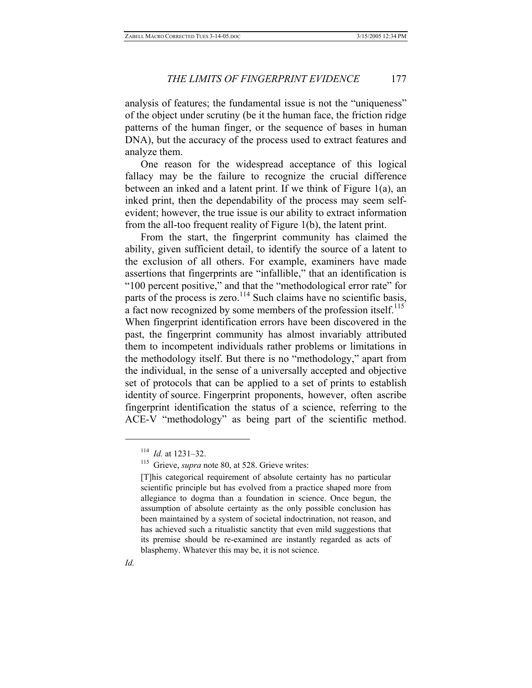analysis of features; the fundamental issue is not the "uniqueness" of the object under scrutiny (be it the human face, the friction ridge patterns of the human finger, or the sequence of bases in human DNA), but the accuracy of the process used to extract features and analyze them.

One reason for the widespread acceptance of this logical fallacy may be the failure to recognize the crucial difference between an inked and a latent print. If we think of Figure 1(a), an inked print, then the dependability of the process may seem selfevident; however, the true issue is our ability to extract information from the all-too frequent reality of Figure 1(b), the latent print.

From the start, the fingerprint community has claimed the ability, given sufficient detail, to identify the source of a latent to the exclusion of all others. For example, examiners have made assertions that fingerprints are "infallible," that an identification is "100 percent positive," and that the "methodological error rate" for parts of the process is zero.<sup>114</sup> Such claims have no scientific basis, a fact now recognized by some members of the profession itself.<sup>115</sup> When fingerprint identification errors have been discovered in the past, the fingerprint community has almost invariably attributed them to incompetent individuals rather problems or limitations in the methodology itself. But there is no "methodology," apart from the individual, in the sense of a universally accepted and objective set of protocols that can be applied to a set of prints to establish identity of source. Fingerprint proponents, however, often ascribe fingerprint identification the status of a science, referring to the ACE-V "methodology" as being part of the scientific method.

<sup>&</sup>lt;sup>114</sup> *Id.* at 1231–32.<br><sup>115</sup> Grieve, *supra* note 80, at 528. Grieve writes:

<sup>[</sup>T]his categorical requirement of absolute certainty has no particular scientific principle but has evolved from a practice shaped more from allegiance to dogma than a foundation in science. Once begun, the assumption of absolute certainty as the only possible conclusion has been maintained by a system of societal indoctrination, not reason, and has achieved such a ritualistic sanctity that even mild suggestions that its premise should be re-examined are instantly regarded as acts of blasphemy. Whatever this may be, it is not science.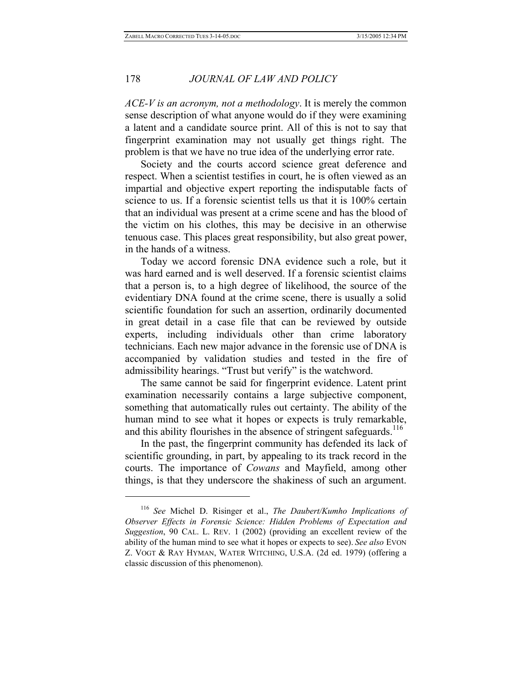*ACE-V is an acronym, not a methodology*. It is merely the common sense description of what anyone would do if they were examining a latent and a candidate source print. All of this is not to say that fingerprint examination may not usually get things right. The problem is that we have no true idea of the underlying error rate.

Society and the courts accord science great deference and respect. When a scientist testifies in court, he is often viewed as an impartial and objective expert reporting the indisputable facts of science to us. If a forensic scientist tells us that it is 100% certain that an individual was present at a crime scene and has the blood of the victim on his clothes, this may be decisive in an otherwise tenuous case. This places great responsibility, but also great power, in the hands of a witness.

Today we accord forensic DNA evidence such a role, but it was hard earned and is well deserved. If a forensic scientist claims that a person is, to a high degree of likelihood, the source of the evidentiary DNA found at the crime scene, there is usually a solid scientific foundation for such an assertion, ordinarily documented in great detail in a case file that can be reviewed by outside experts, including individuals other than crime laboratory technicians. Each new major advance in the forensic use of DNA is accompanied by validation studies and tested in the fire of admissibility hearings. "Trust but verify" is the watchword.

The same cannot be said for fingerprint evidence. Latent print examination necessarily contains a large subjective component, something that automatically rules out certainty. The ability of the human mind to see what it hopes or expects is truly remarkable, and this ability flourishes in the absence of stringent safeguards.<sup>116</sup>

In the past, the fingerprint community has defended its lack of scientific grounding, in part, by appealing to its track record in the courts. The importance of *Cowans* and Mayfield, among other things, is that they underscore the shakiness of such an argument.

<sup>116</sup> *See* Michel D. Risinger et al., *The Daubert/Kumho Implications of Observer Effects in Forensic Science: Hidden Problems of Expectation and Suggestion*, 90 CAL. L. REV. 1 (2002) (providing an excellent review of the ability of the human mind to see what it hopes or expects to see). *See also* EVON Z. VOGT & RAY HYMAN, WATER WITCHING, U.S.A. (2d ed. 1979) (offering a classic discussion of this phenomenon).